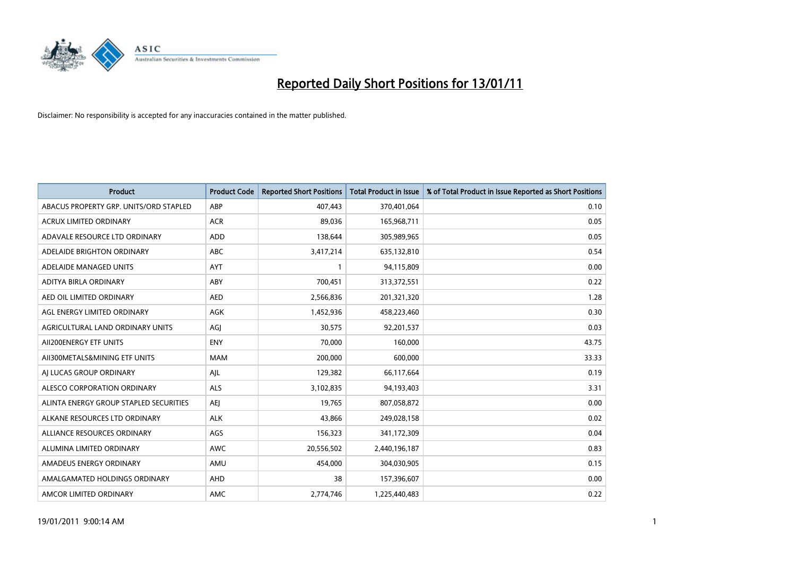

| <b>Product</b>                         | <b>Product Code</b> | <b>Reported Short Positions</b> | Total Product in Issue | % of Total Product in Issue Reported as Short Positions |
|----------------------------------------|---------------------|---------------------------------|------------------------|---------------------------------------------------------|
| ABACUS PROPERTY GRP. UNITS/ORD STAPLED | ABP                 | 407,443                         | 370,401,064            | 0.10                                                    |
| <b>ACRUX LIMITED ORDINARY</b>          | <b>ACR</b>          | 89.036                          | 165,968,711            | 0.05                                                    |
| ADAVALE RESOURCE LTD ORDINARY          | <b>ADD</b>          | 138,644                         | 305,989,965            | 0.05                                                    |
| ADELAIDE BRIGHTON ORDINARY             | <b>ABC</b>          | 3,417,214                       | 635,132,810            | 0.54                                                    |
| ADELAIDE MANAGED UNITS                 | AYT                 |                                 | 94,115,809             | 0.00                                                    |
| ADITYA BIRLA ORDINARY                  | ABY                 | 700,451                         | 313,372,551            | 0.22                                                    |
| AED OIL LIMITED ORDINARY               | <b>AED</b>          | 2,566,836                       | 201,321,320            | 1.28                                                    |
| AGL ENERGY LIMITED ORDINARY            | <b>AGK</b>          | 1,452,936                       | 458,223,460            | 0.30                                                    |
| AGRICULTURAL LAND ORDINARY UNITS       | AGI                 | 30,575                          | 92,201,537             | 0.03                                                    |
| AII200ENERGY ETF UNITS                 | <b>ENY</b>          | 70.000                          | 160,000                | 43.75                                                   |
| AII300METALS&MINING ETF UNITS          | <b>MAM</b>          | 200,000                         | 600,000                | 33.33                                                   |
| AI LUCAS GROUP ORDINARY                | AJL                 | 129,382                         | 66,117,664             | 0.19                                                    |
| ALESCO CORPORATION ORDINARY            | <b>ALS</b>          | 3,102,835                       | 94,193,403             | 3.31                                                    |
| ALINTA ENERGY GROUP STAPLED SECURITIES | <b>AEI</b>          | 19.765                          | 807,058,872            | 0.00                                                    |
| ALKANE RESOURCES LTD ORDINARY          | <b>ALK</b>          | 43,866                          | 249,028,158            | 0.02                                                    |
| ALLIANCE RESOURCES ORDINARY            | AGS                 | 156,323                         | 341,172,309            | 0.04                                                    |
| ALUMINA LIMITED ORDINARY               | <b>AWC</b>          | 20,556,502                      | 2,440,196,187          | 0.83                                                    |
| AMADEUS ENERGY ORDINARY                | AMU                 | 454,000                         | 304,030,905            | 0.15                                                    |
| AMALGAMATED HOLDINGS ORDINARY          | AHD                 | 38                              | 157,396,607            | 0.00                                                    |
| AMCOR LIMITED ORDINARY                 | <b>AMC</b>          | 2,774,746                       | 1,225,440,483          | 0.22                                                    |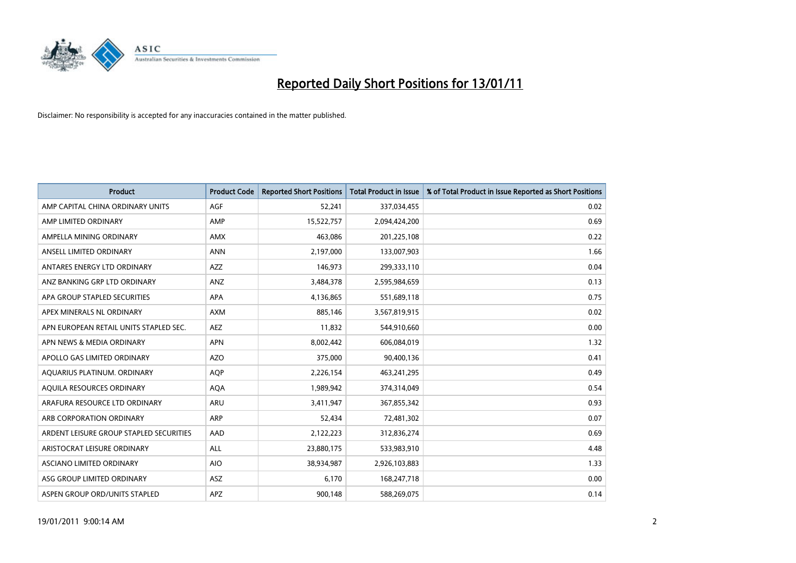

| <b>Product</b>                          | <b>Product Code</b> | <b>Reported Short Positions</b> | Total Product in Issue | % of Total Product in Issue Reported as Short Positions |
|-----------------------------------------|---------------------|---------------------------------|------------------------|---------------------------------------------------------|
| AMP CAPITAL CHINA ORDINARY UNITS        | AGF                 | 52,241                          | 337,034,455            | 0.02                                                    |
| AMP LIMITED ORDINARY                    | AMP                 | 15,522,757                      | 2,094,424,200          | 0.69                                                    |
| AMPELLA MINING ORDINARY                 | <b>AMX</b>          | 463,086                         | 201,225,108            | 0.22                                                    |
| ANSELL LIMITED ORDINARY                 | <b>ANN</b>          | 2,197,000                       | 133,007,903            | 1.66                                                    |
| ANTARES ENERGY LTD ORDINARY             | <b>AZZ</b>          | 146,973                         | 299,333,110            | 0.04                                                    |
| ANZ BANKING GRP LTD ORDINARY            | ANZ                 | 3,484,378                       | 2,595,984,659          | 0.13                                                    |
| APA GROUP STAPLED SECURITIES            | <b>APA</b>          | 4,136,865                       | 551,689,118            | 0.75                                                    |
| APEX MINERALS NL ORDINARY               | <b>AXM</b>          | 885,146                         | 3,567,819,915          | 0.02                                                    |
| APN EUROPEAN RETAIL UNITS STAPLED SEC.  | <b>AEZ</b>          | 11,832                          | 544,910,660            | 0.00                                                    |
| APN NEWS & MEDIA ORDINARY               | <b>APN</b>          | 8,002,442                       | 606,084,019            | 1.32                                                    |
| APOLLO GAS LIMITED ORDINARY             | <b>AZO</b>          | 375,000                         | 90,400,136             | 0.41                                                    |
| AQUARIUS PLATINUM. ORDINARY             | <b>AOP</b>          | 2,226,154                       | 463,241,295            | 0.49                                                    |
| AQUILA RESOURCES ORDINARY               | <b>AQA</b>          | 1.989.942                       | 374,314,049            | 0.54                                                    |
| ARAFURA RESOURCE LTD ORDINARY           | <b>ARU</b>          | 3,411,947                       | 367,855,342            | 0.93                                                    |
| ARB CORPORATION ORDINARY                | <b>ARP</b>          | 52,434                          | 72,481,302             | 0.07                                                    |
| ARDENT LEISURE GROUP STAPLED SECURITIES | AAD                 | 2,122,223                       | 312,836,274            | 0.69                                                    |
| ARISTOCRAT LEISURE ORDINARY             | <b>ALL</b>          | 23,880,175                      | 533,983,910            | 4.48                                                    |
| ASCIANO LIMITED ORDINARY                | <b>AIO</b>          | 38,934,987                      | 2,926,103,883          | 1.33                                                    |
| ASG GROUP LIMITED ORDINARY              | <b>ASZ</b>          | 6,170                           | 168,247,718            | 0.00                                                    |
| ASPEN GROUP ORD/UNITS STAPLED           | <b>APZ</b>          | 900,148                         | 588,269,075            | 0.14                                                    |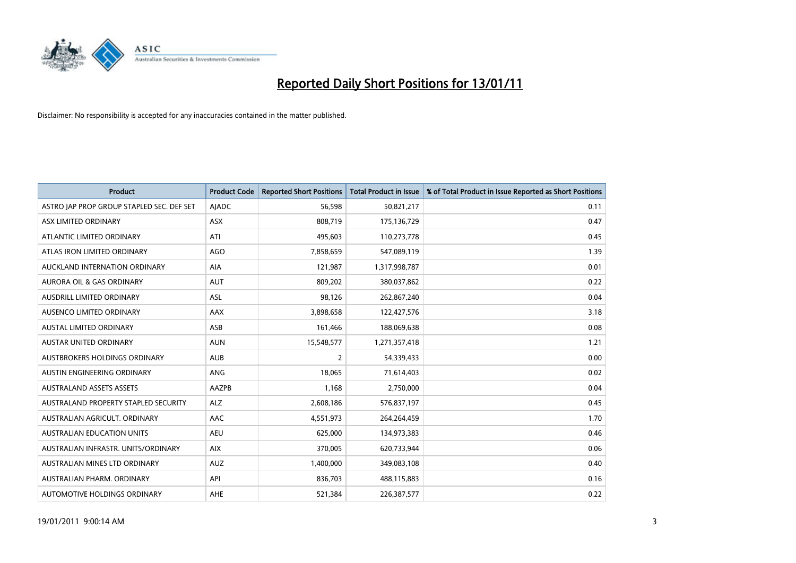

| <b>Product</b>                            | <b>Product Code</b> | <b>Reported Short Positions</b> | <b>Total Product in Issue</b> | % of Total Product in Issue Reported as Short Positions |
|-------------------------------------------|---------------------|---------------------------------|-------------------------------|---------------------------------------------------------|
| ASTRO JAP PROP GROUP STAPLED SEC. DEF SET | AJADC               | 56,598                          | 50,821,217                    | 0.11                                                    |
| ASX LIMITED ORDINARY                      | <b>ASX</b>          | 808,719                         | 175,136,729                   | 0.47                                                    |
| ATLANTIC LIMITED ORDINARY                 | ATI                 | 495,603                         | 110,273,778                   | 0.45                                                    |
| ATLAS IRON LIMITED ORDINARY               | <b>AGO</b>          | 7,858,659                       | 547,089,119                   | 1.39                                                    |
| AUCKLAND INTERNATION ORDINARY             | <b>AIA</b>          | 121,987                         | 1,317,998,787                 | 0.01                                                    |
| <b>AURORA OIL &amp; GAS ORDINARY</b>      | <b>AUT</b>          | 809,202                         | 380,037,862                   | 0.22                                                    |
| <b>AUSDRILL LIMITED ORDINARY</b>          | <b>ASL</b>          | 98,126                          | 262,867,240                   | 0.04                                                    |
| AUSENCO LIMITED ORDINARY                  | AAX                 | 3,898,658                       | 122,427,576                   | 3.18                                                    |
| AUSTAL LIMITED ORDINARY                   | ASB                 | 161,466                         | 188,069,638                   | 0.08                                                    |
| <b>AUSTAR UNITED ORDINARY</b>             | <b>AUN</b>          | 15,548,577                      | 1,271,357,418                 | 1.21                                                    |
| AUSTBROKERS HOLDINGS ORDINARY             | <b>AUB</b>          | $\overline{2}$                  | 54,339,433                    | 0.00                                                    |
| AUSTIN ENGINEERING ORDINARY               | ANG                 | 18,065                          | 71,614,403                    | 0.02                                                    |
| <b>AUSTRALAND ASSETS ASSETS</b>           | AAZPB               | 1,168                           | 2,750,000                     | 0.04                                                    |
| AUSTRALAND PROPERTY STAPLED SECURITY      | <b>ALZ</b>          | 2,608,186                       | 576,837,197                   | 0.45                                                    |
| AUSTRALIAN AGRICULT. ORDINARY             | AAC                 | 4,551,973                       | 264,264,459                   | 1.70                                                    |
| <b>AUSTRALIAN EDUCATION UNITS</b>         | <b>AEU</b>          | 625,000                         | 134,973,383                   | 0.46                                                    |
| AUSTRALIAN INFRASTR, UNITS/ORDINARY       | <b>AIX</b>          | 370,005                         | 620,733,944                   | 0.06                                                    |
| AUSTRALIAN MINES LTD ORDINARY             | <b>AUZ</b>          | 1,400,000                       | 349,083,108                   | 0.40                                                    |
| AUSTRALIAN PHARM, ORDINARY                | API                 | 836,703                         | 488,115,883                   | 0.16                                                    |
| AUTOMOTIVE HOLDINGS ORDINARY              | AHE                 | 521,384                         | 226,387,577                   | 0.22                                                    |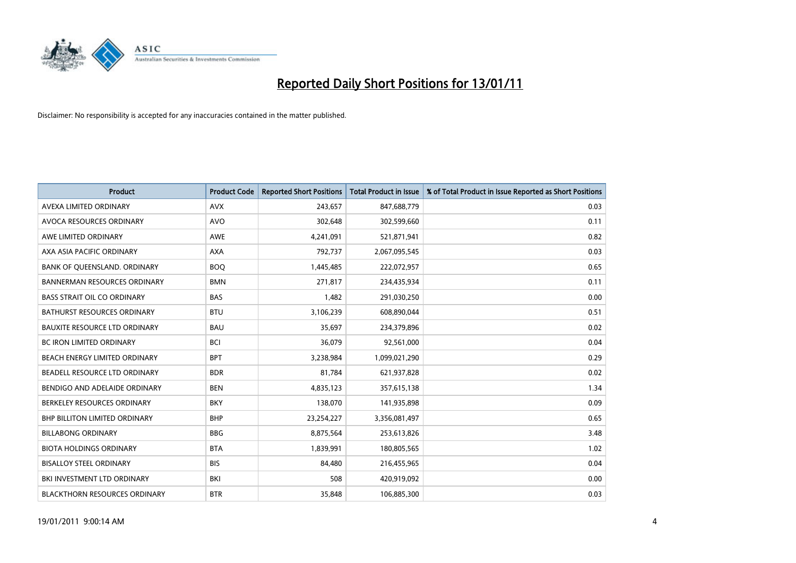

| <b>Product</b>                       | <b>Product Code</b> | <b>Reported Short Positions</b> | <b>Total Product in Issue</b> | % of Total Product in Issue Reported as Short Positions |
|--------------------------------------|---------------------|---------------------------------|-------------------------------|---------------------------------------------------------|
| AVEXA LIMITED ORDINARY               | <b>AVX</b>          | 243,657                         | 847,688,779                   | 0.03                                                    |
| AVOCA RESOURCES ORDINARY             | <b>AVO</b>          | 302,648                         | 302,599,660                   | 0.11                                                    |
| AWE LIMITED ORDINARY                 | AWE                 | 4,241,091                       | 521,871,941                   | 0.82                                                    |
| AXA ASIA PACIFIC ORDINARY            | <b>AXA</b>          | 792,737                         | 2,067,095,545                 | 0.03                                                    |
| BANK OF QUEENSLAND. ORDINARY         | <b>BOQ</b>          | 1,445,485                       | 222,072,957                   | 0.65                                                    |
| <b>BANNERMAN RESOURCES ORDINARY</b>  | <b>BMN</b>          | 271,817                         | 234,435,934                   | 0.11                                                    |
| <b>BASS STRAIT OIL CO ORDINARY</b>   | <b>BAS</b>          | 1,482                           | 291,030,250                   | 0.00                                                    |
| BATHURST RESOURCES ORDINARY          | <b>BTU</b>          | 3,106,239                       | 608,890,044                   | 0.51                                                    |
| <b>BAUXITE RESOURCE LTD ORDINARY</b> | <b>BAU</b>          | 35,697                          | 234,379,896                   | 0.02                                                    |
| <b>BC IRON LIMITED ORDINARY</b>      | <b>BCI</b>          | 36,079                          | 92,561,000                    | 0.04                                                    |
| BEACH ENERGY LIMITED ORDINARY        | <b>BPT</b>          | 3,238,984                       | 1,099,021,290                 | 0.29                                                    |
| BEADELL RESOURCE LTD ORDINARY        | <b>BDR</b>          | 81,784                          | 621,937,828                   | 0.02                                                    |
| BENDIGO AND ADELAIDE ORDINARY        | <b>BEN</b>          | 4,835,123                       | 357,615,138                   | 1.34                                                    |
| BERKELEY RESOURCES ORDINARY          | <b>BKY</b>          | 138,070                         | 141,935,898                   | 0.09                                                    |
| <b>BHP BILLITON LIMITED ORDINARY</b> | <b>BHP</b>          | 23,254,227                      | 3,356,081,497                 | 0.65                                                    |
| <b>BILLABONG ORDINARY</b>            | <b>BBG</b>          | 8,875,564                       | 253,613,826                   | 3.48                                                    |
| <b>BIOTA HOLDINGS ORDINARY</b>       | <b>BTA</b>          | 1,839,991                       | 180,805,565                   | 1.02                                                    |
| <b>BISALLOY STEEL ORDINARY</b>       | <b>BIS</b>          | 84,480                          | 216,455,965                   | 0.04                                                    |
| BKI INVESTMENT LTD ORDINARY          | BKI                 | 508                             | 420,919,092                   | 0.00                                                    |
| <b>BLACKTHORN RESOURCES ORDINARY</b> | <b>BTR</b>          | 35,848                          | 106,885,300                   | 0.03                                                    |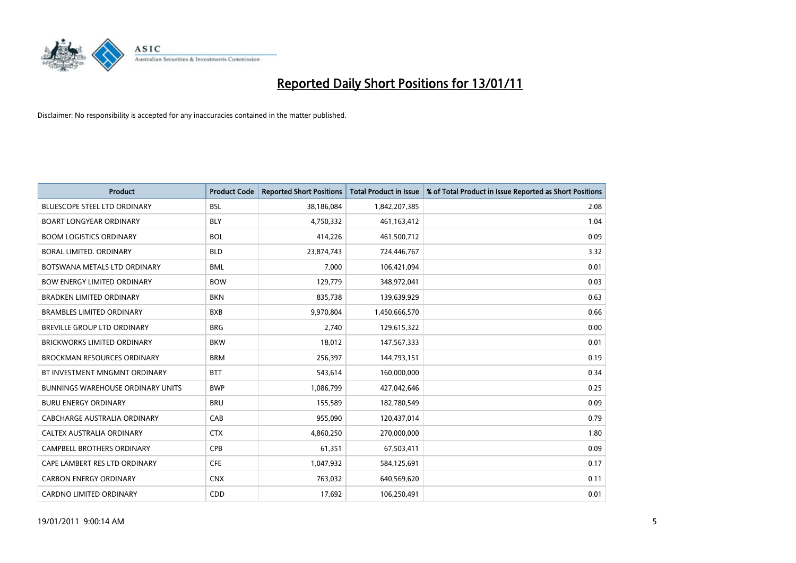

| <b>Product</b>                           | <b>Product Code</b> | <b>Reported Short Positions</b> | <b>Total Product in Issue</b> | % of Total Product in Issue Reported as Short Positions |
|------------------------------------------|---------------------|---------------------------------|-------------------------------|---------------------------------------------------------|
| <b>BLUESCOPE STEEL LTD ORDINARY</b>      | <b>BSL</b>          | 38,186,084                      | 1,842,207,385                 | 2.08                                                    |
| <b>BOART LONGYEAR ORDINARY</b>           | <b>BLY</b>          | 4,750,332                       | 461,163,412                   | 1.04                                                    |
| <b>BOOM LOGISTICS ORDINARY</b>           | <b>BOL</b>          | 414,226                         | 461,500,712                   | 0.09                                                    |
| BORAL LIMITED. ORDINARY                  | <b>BLD</b>          | 23,874,743                      | 724,446,767                   | 3.32                                                    |
| BOTSWANA METALS LTD ORDINARY             | <b>BML</b>          | 7,000                           | 106,421,094                   | 0.01                                                    |
| <b>BOW ENERGY LIMITED ORDINARY</b>       | <b>BOW</b>          | 129,779                         | 348,972,041                   | 0.03                                                    |
| <b>BRADKEN LIMITED ORDINARY</b>          | <b>BKN</b>          | 835,738                         | 139,639,929                   | 0.63                                                    |
| <b>BRAMBLES LIMITED ORDINARY</b>         | <b>BXB</b>          | 9,970,804                       | 1,450,666,570                 | 0.66                                                    |
| BREVILLE GROUP LTD ORDINARY              | <b>BRG</b>          | 2,740                           | 129,615,322                   | 0.00                                                    |
| <b>BRICKWORKS LIMITED ORDINARY</b>       | <b>BKW</b>          | 18,012                          | 147,567,333                   | 0.01                                                    |
| <b>BROCKMAN RESOURCES ORDINARY</b>       | <b>BRM</b>          | 256,397                         | 144,793,151                   | 0.19                                                    |
| BT INVESTMENT MNGMNT ORDINARY            | <b>BTT</b>          | 543,614                         | 160,000,000                   | 0.34                                                    |
| <b>BUNNINGS WAREHOUSE ORDINARY UNITS</b> | <b>BWP</b>          | 1,086,799                       | 427,042,646                   | 0.25                                                    |
| <b>BURU ENERGY ORDINARY</b>              | <b>BRU</b>          | 155,589                         | 182,780,549                   | 0.09                                                    |
| CABCHARGE AUSTRALIA ORDINARY             | CAB                 | 955,090                         | 120,437,014                   | 0.79                                                    |
| CALTEX AUSTRALIA ORDINARY                | <b>CTX</b>          | 4,860,250                       | 270,000,000                   | 1.80                                                    |
| <b>CAMPBELL BROTHERS ORDINARY</b>        | <b>CPB</b>          | 61,351                          | 67,503,411                    | 0.09                                                    |
| CAPE LAMBERT RES LTD ORDINARY            | <b>CFE</b>          | 1,047,932                       | 584,125,691                   | 0.17                                                    |
| <b>CARBON ENERGY ORDINARY</b>            | <b>CNX</b>          | 763,032                         | 640,569,620                   | 0.11                                                    |
| <b>CARDNO LIMITED ORDINARY</b>           | CDD                 | 17,692                          | 106,250,491                   | 0.01                                                    |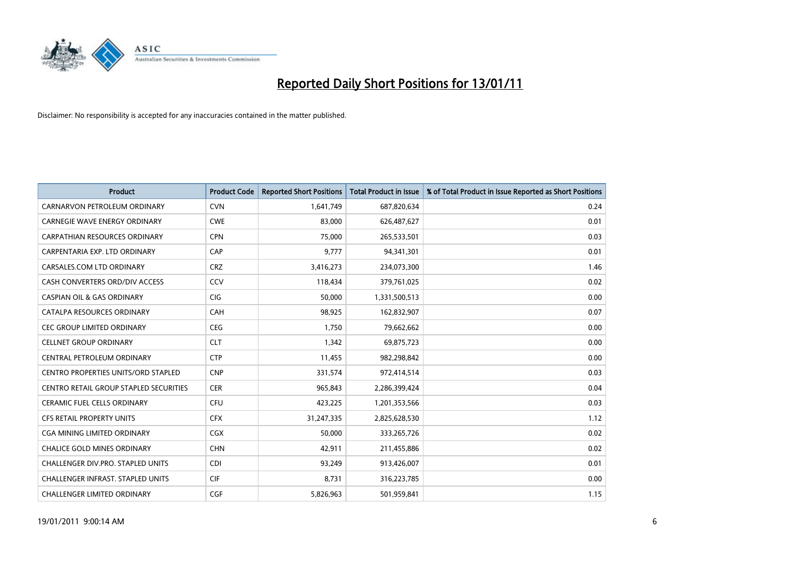

| <b>Product</b>                                | <b>Product Code</b> | <b>Reported Short Positions</b> | <b>Total Product in Issue</b> | % of Total Product in Issue Reported as Short Positions |
|-----------------------------------------------|---------------------|---------------------------------|-------------------------------|---------------------------------------------------------|
| CARNARVON PETROLEUM ORDINARY                  | <b>CVN</b>          | 1,641,749                       | 687,820,634                   | 0.24                                                    |
| CARNEGIE WAVE ENERGY ORDINARY                 | <b>CWE</b>          | 83,000                          | 626,487,627                   | 0.01                                                    |
| <b>CARPATHIAN RESOURCES ORDINARY</b>          | <b>CPN</b>          | 75,000                          | 265,533,501                   | 0.03                                                    |
| CARPENTARIA EXP. LTD ORDINARY                 | CAP                 | 9,777                           | 94,341,301                    | 0.01                                                    |
| CARSALES.COM LTD ORDINARY                     | <b>CRZ</b>          | 3,416,273                       | 234,073,300                   | 1.46                                                    |
| CASH CONVERTERS ORD/DIV ACCESS                | CCV                 | 118,434                         | 379,761,025                   | 0.02                                                    |
| <b>CASPIAN OIL &amp; GAS ORDINARY</b>         | <b>CIG</b>          | 50,000                          | 1,331,500,513                 | 0.00                                                    |
| CATALPA RESOURCES ORDINARY                    | CAH                 | 98,925                          | 162,832,907                   | 0.07                                                    |
| CEC GROUP LIMITED ORDINARY                    | <b>CEG</b>          | 1,750                           | 79,662,662                    | 0.00                                                    |
| <b>CELLNET GROUP ORDINARY</b>                 | <b>CLT</b>          | 1,342                           | 69,875,723                    | 0.00                                                    |
| CENTRAL PETROLEUM ORDINARY                    | <b>CTP</b>          | 11,455                          | 982,298,842                   | 0.00                                                    |
| <b>CENTRO PROPERTIES UNITS/ORD STAPLED</b>    | <b>CNP</b>          | 331,574                         | 972,414,514                   | 0.03                                                    |
| <b>CENTRO RETAIL GROUP STAPLED SECURITIES</b> | <b>CER</b>          | 965,843                         | 2,286,399,424                 | 0.04                                                    |
| <b>CERAMIC FUEL CELLS ORDINARY</b>            | CFU                 | 423,225                         | 1,201,353,566                 | 0.03                                                    |
| <b>CFS RETAIL PROPERTY UNITS</b>              | <b>CFX</b>          | 31,247,335                      | 2,825,628,530                 | 1.12                                                    |
| CGA MINING LIMITED ORDINARY                   | CGX                 | 50,000                          | 333,265,726                   | 0.02                                                    |
| <b>CHALICE GOLD MINES ORDINARY</b>            | <b>CHN</b>          | 42,911                          | 211,455,886                   | 0.02                                                    |
| CHALLENGER DIV.PRO. STAPLED UNITS             | <b>CDI</b>          | 93,249                          | 913,426,007                   | 0.01                                                    |
| <b>CHALLENGER INFRAST, STAPLED UNITS</b>      | <b>CIF</b>          | 8,731                           | 316,223,785                   | 0.00                                                    |
| <b>CHALLENGER LIMITED ORDINARY</b>            | CGF                 | 5,826,963                       | 501,959,841                   | 1.15                                                    |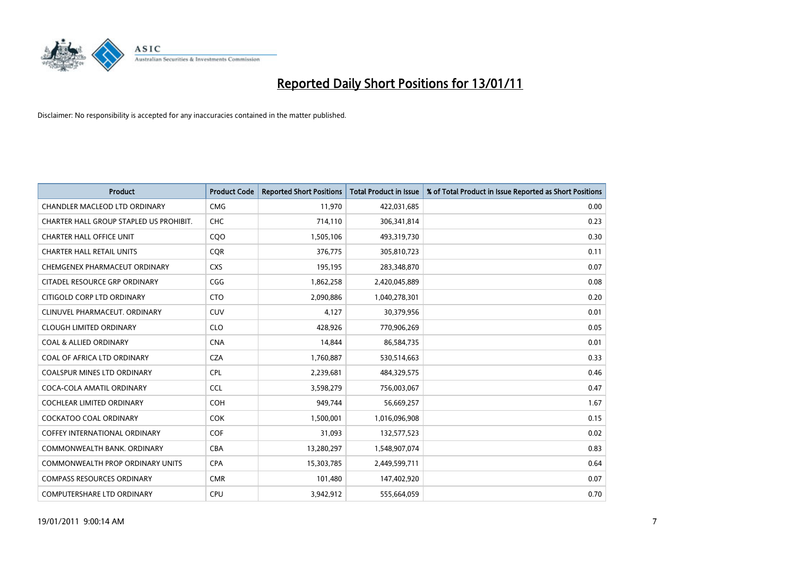

| <b>Product</b>                          | <b>Product Code</b> | <b>Reported Short Positions</b> | <b>Total Product in Issue</b> | % of Total Product in Issue Reported as Short Positions |
|-----------------------------------------|---------------------|---------------------------------|-------------------------------|---------------------------------------------------------|
| <b>CHANDLER MACLEOD LTD ORDINARY</b>    | <b>CMG</b>          | 11,970                          | 422,031,685                   | 0.00                                                    |
| CHARTER HALL GROUP STAPLED US PROHIBIT. | CHC                 | 714,110                         | 306,341,814                   | 0.23                                                    |
| <b>CHARTER HALL OFFICE UNIT</b>         | C <sub>O</sub> O    | 1,505,106                       | 493,319,730                   | 0.30                                                    |
| <b>CHARTER HALL RETAIL UNITS</b>        | <b>CQR</b>          | 376,775                         | 305,810,723                   | 0.11                                                    |
| CHEMGENEX PHARMACEUT ORDINARY           | <b>CXS</b>          | 195,195                         | 283,348,870                   | 0.07                                                    |
| CITADEL RESOURCE GRP ORDINARY           | CGG                 | 1,862,258                       | 2,420,045,889                 | 0.08                                                    |
| CITIGOLD CORP LTD ORDINARY              | <b>CTO</b>          | 2,090,886                       | 1,040,278,301                 | 0.20                                                    |
| CLINUVEL PHARMACEUT, ORDINARY           | <b>CUV</b>          | 4,127                           | 30,379,956                    | 0.01                                                    |
| <b>CLOUGH LIMITED ORDINARY</b>          | <b>CLO</b>          | 428.926                         | 770,906,269                   | 0.05                                                    |
| <b>COAL &amp; ALLIED ORDINARY</b>       | <b>CNA</b>          | 14,844                          | 86,584,735                    | 0.01                                                    |
| COAL OF AFRICA LTD ORDINARY             | <b>CZA</b>          | 1,760,887                       | 530,514,663                   | 0.33                                                    |
| <b>COALSPUR MINES LTD ORDINARY</b>      | <b>CPL</b>          | 2,239,681                       | 484,329,575                   | 0.46                                                    |
| COCA-COLA AMATIL ORDINARY               | <b>CCL</b>          | 3,598,279                       | 756,003,067                   | 0.47                                                    |
| COCHLEAR LIMITED ORDINARY               | <b>COH</b>          | 949,744                         | 56,669,257                    | 1.67                                                    |
| <b>COCKATOO COAL ORDINARY</b>           | <b>COK</b>          | 1,500,001                       | 1,016,096,908                 | 0.15                                                    |
| <b>COFFEY INTERNATIONAL ORDINARY</b>    | <b>COF</b>          | 31,093                          | 132,577,523                   | 0.02                                                    |
| COMMONWEALTH BANK, ORDINARY             | <b>CBA</b>          | 13,280,297                      | 1,548,907,074                 | 0.83                                                    |
| COMMONWEALTH PROP ORDINARY UNITS        | <b>CPA</b>          | 15,303,785                      | 2,449,599,711                 | 0.64                                                    |
| <b>COMPASS RESOURCES ORDINARY</b>       | <b>CMR</b>          | 101,480                         | 147,402,920                   | 0.07                                                    |
| COMPUTERSHARE LTD ORDINARY              | <b>CPU</b>          | 3,942,912                       | 555,664,059                   | 0.70                                                    |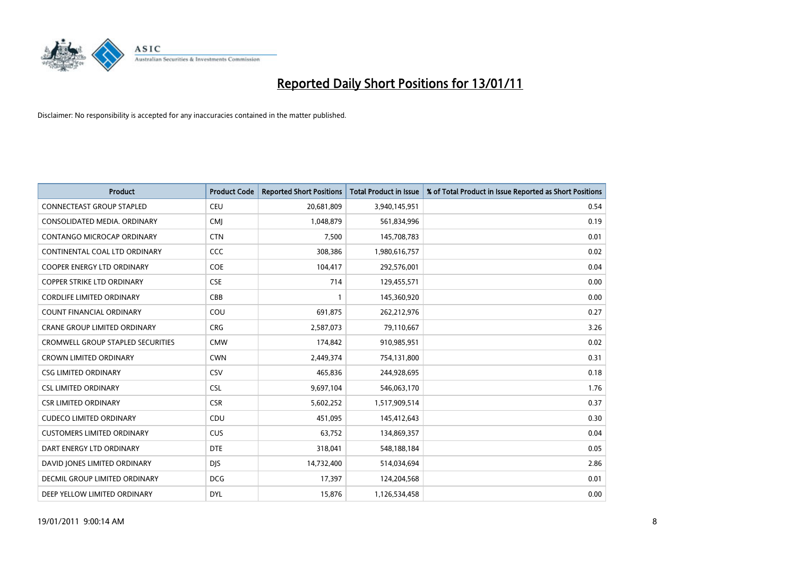

| <b>Product</b>                           | <b>Product Code</b> | <b>Reported Short Positions</b> | <b>Total Product in Issue</b> | % of Total Product in Issue Reported as Short Positions |
|------------------------------------------|---------------------|---------------------------------|-------------------------------|---------------------------------------------------------|
| <b>CONNECTEAST GROUP STAPLED</b>         | CEU                 | 20,681,809                      | 3,940,145,951                 | 0.54                                                    |
| CONSOLIDATED MEDIA, ORDINARY             | <b>CMI</b>          | 1,048,879                       | 561,834,996                   | 0.19                                                    |
| CONTANGO MICROCAP ORDINARY               | <b>CTN</b>          | 7,500                           | 145,708,783                   | 0.01                                                    |
| CONTINENTAL COAL LTD ORDINARY            | CCC                 | 308,386                         | 1,980,616,757                 | 0.02                                                    |
| <b>COOPER ENERGY LTD ORDINARY</b>        | <b>COE</b>          | 104,417                         | 292,576,001                   | 0.04                                                    |
| <b>COPPER STRIKE LTD ORDINARY</b>        | <b>CSE</b>          | 714                             | 129,455,571                   | 0.00                                                    |
| <b>CORDLIFE LIMITED ORDINARY</b>         | CBB                 |                                 | 145,360,920                   | 0.00                                                    |
| <b>COUNT FINANCIAL ORDINARY</b>          | COU                 | 691,875                         | 262,212,976                   | 0.27                                                    |
| CRANE GROUP LIMITED ORDINARY             | <b>CRG</b>          | 2,587,073                       | 79,110,667                    | 3.26                                                    |
| <b>CROMWELL GROUP STAPLED SECURITIES</b> | <b>CMW</b>          | 174,842                         | 910,985,951                   | 0.02                                                    |
| <b>CROWN LIMITED ORDINARY</b>            | <b>CWN</b>          | 2,449,374                       | 754,131,800                   | 0.31                                                    |
| <b>CSG LIMITED ORDINARY</b>              | CSV                 | 465,836                         | 244,928,695                   | 0.18                                                    |
| <b>CSL LIMITED ORDINARY</b>              | CSL                 | 9,697,104                       | 546,063,170                   | 1.76                                                    |
| <b>CSR LIMITED ORDINARY</b>              | <b>CSR</b>          | 5,602,252                       | 1,517,909,514                 | 0.37                                                    |
| <b>CUDECO LIMITED ORDINARY</b>           | CDU                 | 451,095                         | 145,412,643                   | 0.30                                                    |
| <b>CUSTOMERS LIMITED ORDINARY</b>        | <b>CUS</b>          | 63,752                          | 134,869,357                   | 0.04                                                    |
| DART ENERGY LTD ORDINARY                 | <b>DTE</b>          | 318,041                         | 548,188,184                   | 0.05                                                    |
| DAVID JONES LIMITED ORDINARY             | <b>DJS</b>          | 14,732,400                      | 514,034,694                   | 2.86                                                    |
| DECMIL GROUP LIMITED ORDINARY            | <b>DCG</b>          | 17,397                          | 124,204,568                   | 0.01                                                    |
| DEEP YELLOW LIMITED ORDINARY             | <b>DYL</b>          | 15,876                          | 1,126,534,458                 | 0.00                                                    |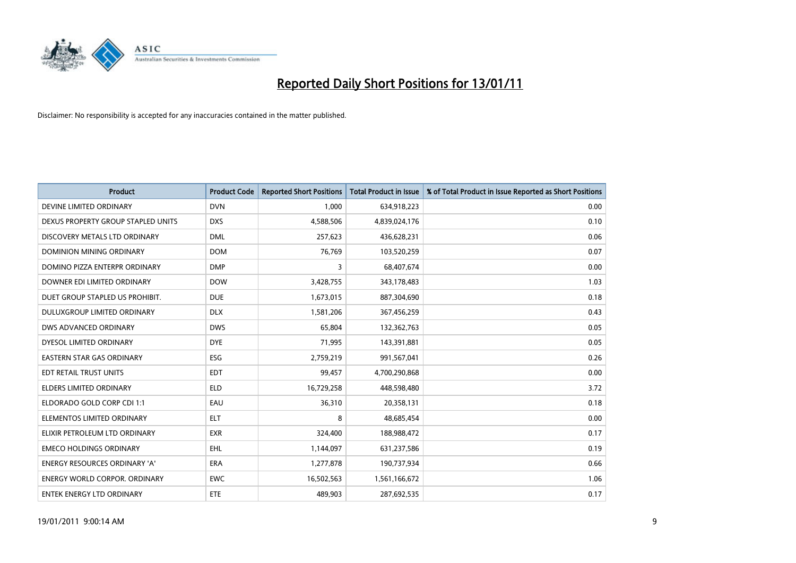

| <b>Product</b>                       | <b>Product Code</b> | <b>Reported Short Positions</b> | <b>Total Product in Issue</b> | % of Total Product in Issue Reported as Short Positions |
|--------------------------------------|---------------------|---------------------------------|-------------------------------|---------------------------------------------------------|
| DEVINE LIMITED ORDINARY              | <b>DVN</b>          | 1,000                           | 634,918,223                   | 0.00                                                    |
| DEXUS PROPERTY GROUP STAPLED UNITS   | <b>DXS</b>          | 4,588,506                       | 4,839,024,176                 | 0.10                                                    |
| DISCOVERY METALS LTD ORDINARY        | <b>DML</b>          | 257,623                         | 436,628,231                   | 0.06                                                    |
| DOMINION MINING ORDINARY             | <b>DOM</b>          | 76,769                          | 103,520,259                   | 0.07                                                    |
| DOMINO PIZZA ENTERPR ORDINARY        | <b>DMP</b>          | 3                               | 68,407,674                    | 0.00                                                    |
| DOWNER EDI LIMITED ORDINARY          | <b>DOW</b>          | 3,428,755                       | 343,178,483                   | 1.03                                                    |
| DUET GROUP STAPLED US PROHIBIT.      | <b>DUE</b>          | 1,673,015                       | 887,304,690                   | 0.18                                                    |
| DULUXGROUP LIMITED ORDINARY          | <b>DLX</b>          | 1,581,206                       | 367,456,259                   | 0.43                                                    |
| DWS ADVANCED ORDINARY                | <b>DWS</b>          | 65,804                          | 132,362,763                   | 0.05                                                    |
| DYESOL LIMITED ORDINARY              | <b>DYE</b>          | 71,995                          | 143,391,881                   | 0.05                                                    |
| <b>EASTERN STAR GAS ORDINARY</b>     | ESG                 | 2,759,219                       | 991,567,041                   | 0.26                                                    |
| EDT RETAIL TRUST UNITS               | <b>EDT</b>          | 99,457                          | 4,700,290,868                 | 0.00                                                    |
| <b>ELDERS LIMITED ORDINARY</b>       | <b>ELD</b>          | 16,729,258                      | 448,598,480                   | 3.72                                                    |
| ELDORADO GOLD CORP CDI 1:1           | EAU                 | 36,310                          | 20,358,131                    | 0.18                                                    |
| ELEMENTOS LIMITED ORDINARY           | <b>ELT</b>          | 8                               | 48,685,454                    | 0.00                                                    |
| ELIXIR PETROLEUM LTD ORDINARY        | <b>EXR</b>          | 324,400                         | 188,988,472                   | 0.17                                                    |
| <b>EMECO HOLDINGS ORDINARY</b>       | <b>EHL</b>          | 1,144,097                       | 631,237,586                   | 0.19                                                    |
| ENERGY RESOURCES ORDINARY 'A'        | <b>ERA</b>          | 1,277,878                       | 190,737,934                   | 0.66                                                    |
| <b>ENERGY WORLD CORPOR, ORDINARY</b> | <b>EWC</b>          | 16,502,563                      | 1,561,166,672                 | 1.06                                                    |
| ENTEK ENERGY LTD ORDINARY            | ETE                 | 489.903                         | 287,692,535                   | 0.17                                                    |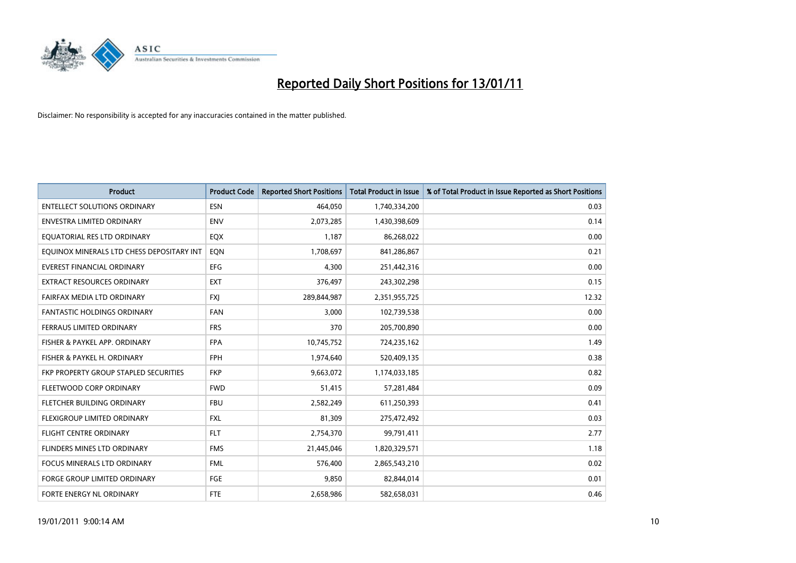

| <b>Product</b>                            | <b>Product Code</b> | <b>Reported Short Positions</b> | <b>Total Product in Issue</b> | % of Total Product in Issue Reported as Short Positions |
|-------------------------------------------|---------------------|---------------------------------|-------------------------------|---------------------------------------------------------|
| <b>ENTELLECT SOLUTIONS ORDINARY</b>       | <b>ESN</b>          | 464,050                         | 1,740,334,200                 | 0.03                                                    |
| ENVESTRA LIMITED ORDINARY                 | <b>ENV</b>          | 2,073,285                       | 1,430,398,609                 | 0.14                                                    |
| EQUATORIAL RES LTD ORDINARY               | EQX                 | 1,187                           | 86,268,022                    | 0.00                                                    |
| EQUINOX MINERALS LTD CHESS DEPOSITARY INT | EON                 | 1,708,697                       | 841,286,867                   | 0.21                                                    |
| <b>EVEREST FINANCIAL ORDINARY</b>         | <b>EFG</b>          | 4,300                           | 251,442,316                   | 0.00                                                    |
| <b>EXTRACT RESOURCES ORDINARY</b>         | <b>EXT</b>          | 376,497                         | 243,302,298                   | 0.15                                                    |
| FAIRFAX MEDIA LTD ORDINARY                | <b>FXI</b>          | 289,844,987                     | 2,351,955,725                 | 12.32                                                   |
| FANTASTIC HOLDINGS ORDINARY               | <b>FAN</b>          | 3,000                           | 102,739,538                   | 0.00                                                    |
| FERRAUS LIMITED ORDINARY                  | <b>FRS</b>          | 370                             | 205,700,890                   | 0.00                                                    |
| FISHER & PAYKEL APP. ORDINARY             | <b>FPA</b>          | 10,745,752                      | 724,235,162                   | 1.49                                                    |
| FISHER & PAYKEL H. ORDINARY               | <b>FPH</b>          | 1,974,640                       | 520,409,135                   | 0.38                                                    |
| FKP PROPERTY GROUP STAPLED SECURITIES     | <b>FKP</b>          | 9,663,072                       | 1,174,033,185                 | 0.82                                                    |
| FLEETWOOD CORP ORDINARY                   | <b>FWD</b>          | 51,415                          | 57,281,484                    | 0.09                                                    |
| FLETCHER BUILDING ORDINARY                | <b>FBU</b>          | 2,582,249                       | 611,250,393                   | 0.41                                                    |
| FLEXIGROUP LIMITED ORDINARY               | <b>FXL</b>          | 81,309                          | 275,472,492                   | 0.03                                                    |
| <b>FLIGHT CENTRE ORDINARY</b>             | <b>FLT</b>          | 2,754,370                       | 99,791,411                    | 2.77                                                    |
| FLINDERS MINES LTD ORDINARY               | <b>FMS</b>          | 21,445,046                      | 1,820,329,571                 | 1.18                                                    |
| <b>FOCUS MINERALS LTD ORDINARY</b>        | <b>FML</b>          | 576,400                         | 2,865,543,210                 | 0.02                                                    |
| <b>FORGE GROUP LIMITED ORDINARY</b>       | <b>FGE</b>          | 9,850                           | 82,844,014                    | 0.01                                                    |
| <b>FORTE ENERGY NL ORDINARY</b>           | <b>FTE</b>          | 2,658,986                       | 582,658,031                   | 0.46                                                    |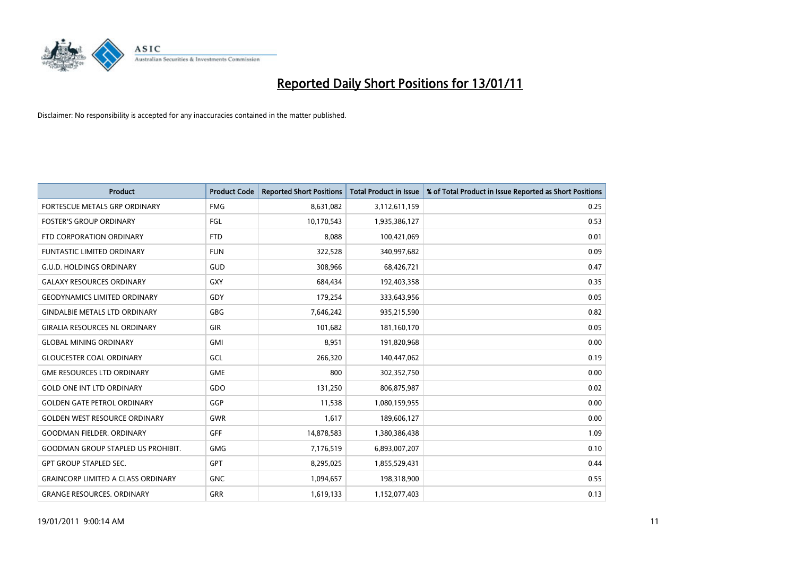

| <b>Product</b>                            | <b>Product Code</b> | <b>Reported Short Positions</b> | Total Product in Issue | % of Total Product in Issue Reported as Short Positions |
|-------------------------------------------|---------------------|---------------------------------|------------------------|---------------------------------------------------------|
| FORTESCUE METALS GRP ORDINARY             | <b>FMG</b>          | 8,631,082                       | 3,112,611,159          | 0.25                                                    |
| <b>FOSTER'S GROUP ORDINARY</b>            | FGL                 | 10,170,543                      | 1,935,386,127          | 0.53                                                    |
| FTD CORPORATION ORDINARY                  | <b>FTD</b>          | 8,088                           | 100,421,069            | 0.01                                                    |
| FUNTASTIC LIMITED ORDINARY                | <b>FUN</b>          | 322,528                         | 340,997,682            | 0.09                                                    |
| <b>G.U.D. HOLDINGS ORDINARY</b>           | GUD                 | 308,966                         | 68,426,721             | 0.47                                                    |
| <b>GALAXY RESOURCES ORDINARY</b>          | <b>GXY</b>          | 684,434                         | 192,403,358            | 0.35                                                    |
| <b>GEODYNAMICS LIMITED ORDINARY</b>       | GDY                 | 179,254                         | 333,643,956            | 0.05                                                    |
| <b>GINDALBIE METALS LTD ORDINARY</b>      | <b>GBG</b>          | 7,646,242                       | 935,215,590            | 0.82                                                    |
| <b>GIRALIA RESOURCES NL ORDINARY</b>      | GIR                 | 101,682                         | 181,160,170            | 0.05                                                    |
| <b>GLOBAL MINING ORDINARY</b>             | <b>GMI</b>          | 8,951                           | 191,820,968            | 0.00                                                    |
| <b>GLOUCESTER COAL ORDINARY</b>           | <b>GCL</b>          | 266,320                         | 140,447,062            | 0.19                                                    |
| <b>GME RESOURCES LTD ORDINARY</b>         | <b>GME</b>          | 800                             | 302,352,750            | 0.00                                                    |
| <b>GOLD ONE INT LTD ORDINARY</b>          | GDO                 | 131,250                         | 806,875,987            | 0.02                                                    |
| <b>GOLDEN GATE PETROL ORDINARY</b>        | GGP                 | 11,538                          | 1,080,159,955          | 0.00                                                    |
| <b>GOLDEN WEST RESOURCE ORDINARY</b>      | <b>GWR</b>          | 1,617                           | 189,606,127            | 0.00                                                    |
| <b>GOODMAN FIELDER, ORDINARY</b>          | GFF                 | 14,878,583                      | 1,380,386,438          | 1.09                                                    |
| <b>GOODMAN GROUP STAPLED US PROHIBIT.</b> | <b>GMG</b>          | 7,176,519                       | 6,893,007,207          | 0.10                                                    |
| <b>GPT GROUP STAPLED SEC.</b>             | <b>GPT</b>          | 8,295,025                       | 1,855,529,431          | 0.44                                                    |
| <b>GRAINCORP LIMITED A CLASS ORDINARY</b> | <b>GNC</b>          | 1,094,657                       | 198,318,900            | 0.55                                                    |
| <b>GRANGE RESOURCES. ORDINARY</b>         | GRR                 | 1,619,133                       | 1,152,077,403          | 0.13                                                    |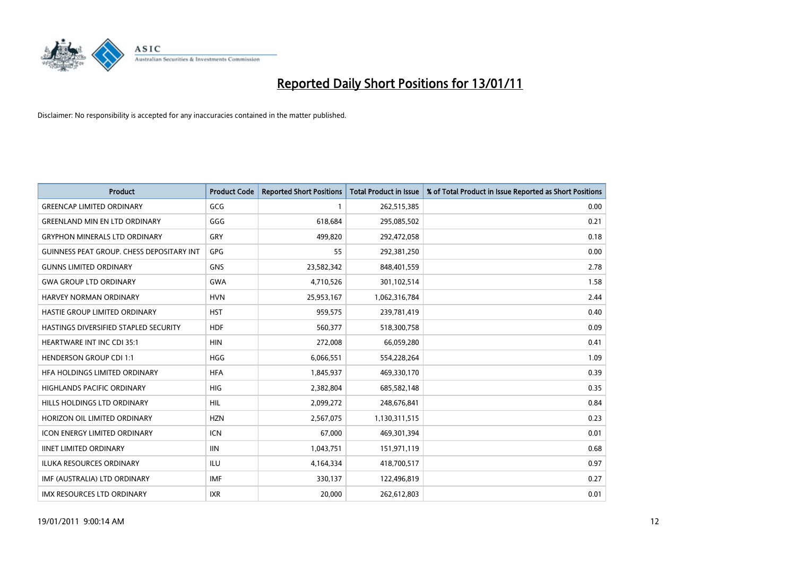

| <b>Product</b>                                   | <b>Product Code</b> | <b>Reported Short Positions</b> | <b>Total Product in Issue</b> | % of Total Product in Issue Reported as Short Positions |
|--------------------------------------------------|---------------------|---------------------------------|-------------------------------|---------------------------------------------------------|
| <b>GREENCAP LIMITED ORDINARY</b>                 | GCG                 |                                 | 262,515,385                   | 0.00                                                    |
| <b>GREENLAND MIN EN LTD ORDINARY</b>             | GGG                 | 618,684                         | 295,085,502                   | 0.21                                                    |
| <b>GRYPHON MINERALS LTD ORDINARY</b>             | GRY                 | 499,820                         | 292,472,058                   | 0.18                                                    |
| <b>GUINNESS PEAT GROUP. CHESS DEPOSITARY INT</b> | GPG                 | 55                              | 292,381,250                   | 0.00                                                    |
| <b>GUNNS LIMITED ORDINARY</b>                    | <b>GNS</b>          | 23,582,342                      | 848,401,559                   | 2.78                                                    |
| <b>GWA GROUP LTD ORDINARY</b>                    | <b>GWA</b>          | 4,710,526                       | 301,102,514                   | 1.58                                                    |
| <b>HARVEY NORMAN ORDINARY</b>                    | <b>HVN</b>          | 25,953,167                      | 1,062,316,784                 | 2.44                                                    |
| HASTIE GROUP LIMITED ORDINARY                    | <b>HST</b>          | 959,575                         | 239,781,419                   | 0.40                                                    |
| HASTINGS DIVERSIFIED STAPLED SECURITY            | <b>HDF</b>          | 560,377                         | 518,300,758                   | 0.09                                                    |
| <b>HEARTWARE INT INC CDI 35:1</b>                | <b>HIN</b>          | 272,008                         | 66,059,280                    | 0.41                                                    |
| <b>HENDERSON GROUP CDI 1:1</b>                   | <b>HGG</b>          | 6,066,551                       | 554,228,264                   | 1.09                                                    |
| HFA HOLDINGS LIMITED ORDINARY                    | <b>HFA</b>          | 1,845,937                       | 469,330,170                   | 0.39                                                    |
| HIGHLANDS PACIFIC ORDINARY                       | <b>HIG</b>          | 2,382,804                       | 685,582,148                   | 0.35                                                    |
| HILLS HOLDINGS LTD ORDINARY                      | HIL                 | 2,099,272                       | 248,676,841                   | 0.84                                                    |
| HORIZON OIL LIMITED ORDINARY                     | <b>HZN</b>          | 2,567,075                       | 1,130,311,515                 | 0.23                                                    |
| <b>ICON ENERGY LIMITED ORDINARY</b>              | <b>ICN</b>          | 67,000                          | 469,301,394                   | 0.01                                                    |
| <b>IINET LIMITED ORDINARY</b>                    | <b>IIN</b>          | 1,043,751                       | 151,971,119                   | 0.68                                                    |
| ILUKA RESOURCES ORDINARY                         | <b>ILU</b>          | 4,164,334                       | 418,700,517                   | 0.97                                                    |
| IMF (AUSTRALIA) LTD ORDINARY                     | IMF                 | 330,137                         | 122,496,819                   | 0.27                                                    |
| IMX RESOURCES LTD ORDINARY                       | <b>IXR</b>          | 20,000                          | 262,612,803                   | 0.01                                                    |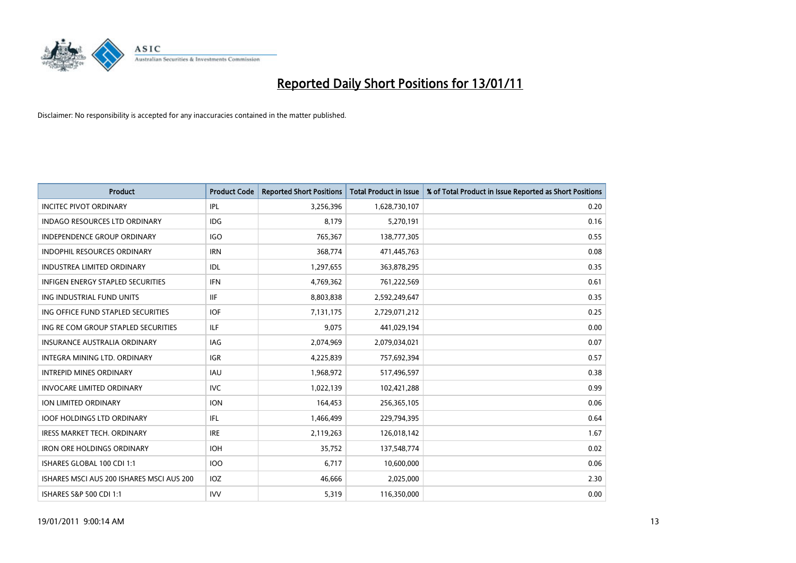

| <b>Product</b>                            | <b>Product Code</b> | <b>Reported Short Positions</b> | <b>Total Product in Issue</b> | % of Total Product in Issue Reported as Short Positions |
|-------------------------------------------|---------------------|---------------------------------|-------------------------------|---------------------------------------------------------|
| <b>INCITEC PIVOT ORDINARY</b>             | <b>IPL</b>          | 3,256,396                       | 1,628,730,107                 | 0.20                                                    |
| <b>INDAGO RESOURCES LTD ORDINARY</b>      | <b>IDG</b>          | 8,179                           | 5,270,191                     | 0.16                                                    |
| <b>INDEPENDENCE GROUP ORDINARY</b>        | <b>IGO</b>          | 765,367                         | 138,777,305                   | 0.55                                                    |
| INDOPHIL RESOURCES ORDINARY               | <b>IRN</b>          | 368,774                         | 471,445,763                   | 0.08                                                    |
| <b>INDUSTREA LIMITED ORDINARY</b>         | IDL                 | 1,297,655                       | 363,878,295                   | 0.35                                                    |
| <b>INFIGEN ENERGY STAPLED SECURITIES</b>  | <b>IFN</b>          | 4,769,362                       | 761,222,569                   | 0.61                                                    |
| ING INDUSTRIAL FUND UNITS                 | IIF                 | 8,803,838                       | 2,592,249,647                 | 0.35                                                    |
| ING OFFICE FUND STAPLED SECURITIES        | <b>IOF</b>          | 7,131,175                       | 2,729,071,212                 | 0.25                                                    |
| ING RE COM GROUP STAPLED SECURITIES       | <b>ILF</b>          | 9,075                           | 441,029,194                   | 0.00                                                    |
| <b>INSURANCE AUSTRALIA ORDINARY</b>       | <b>IAG</b>          | 2,074,969                       | 2,079,034,021                 | 0.07                                                    |
| INTEGRA MINING LTD. ORDINARY              | <b>IGR</b>          | 4,225,839                       | 757,692,394                   | 0.57                                                    |
| <b>INTREPID MINES ORDINARY</b>            | <b>IAU</b>          | 1,968,972                       | 517,496,597                   | 0.38                                                    |
| <b>INVOCARE LIMITED ORDINARY</b>          | <b>IVC</b>          | 1,022,139                       | 102,421,288                   | 0.99                                                    |
| ION LIMITED ORDINARY                      | <b>ION</b>          | 164,453                         | 256,365,105                   | 0.06                                                    |
| <b>IOOF HOLDINGS LTD ORDINARY</b>         | IFL.                | 1,466,499                       | 229,794,395                   | 0.64                                                    |
| <b>IRESS MARKET TECH. ORDINARY</b>        | <b>IRE</b>          | 2,119,263                       | 126,018,142                   | 1.67                                                    |
| <b>IRON ORE HOLDINGS ORDINARY</b>         | <b>IOH</b>          | 35,752                          | 137,548,774                   | 0.02                                                    |
| ISHARES GLOBAL 100 CDI 1:1                | <b>IOO</b>          | 6,717                           | 10,600,000                    | 0.06                                                    |
| ISHARES MSCI AUS 200 ISHARES MSCI AUS 200 | <b>IOZ</b>          | 46,666                          | 2,025,000                     | 2.30                                                    |
| ISHARES S&P 500 CDI 1:1                   | <b>IVV</b>          | 5,319                           | 116,350,000                   | 0.00                                                    |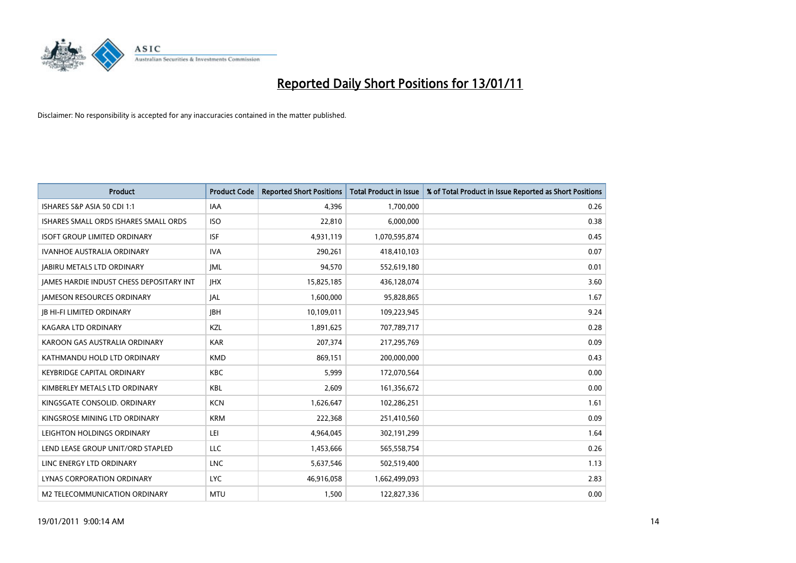

| <b>Product</b>                                  | <b>Product Code</b> | <b>Reported Short Positions</b> | Total Product in Issue | % of Total Product in Issue Reported as Short Positions |
|-------------------------------------------------|---------------------|---------------------------------|------------------------|---------------------------------------------------------|
| ISHARES S&P ASIA 50 CDI 1:1                     | <b>IAA</b>          | 4.396                           | 1,700,000              | 0.26                                                    |
| ISHARES SMALL ORDS ISHARES SMALL ORDS           | <b>ISO</b>          | 22,810                          | 6,000,000              | 0.38                                                    |
| <b>ISOFT GROUP LIMITED ORDINARY</b>             | <b>ISF</b>          | 4,931,119                       | 1,070,595,874          | 0.45                                                    |
| IVANHOE AUSTRALIA ORDINARY                      | <b>IVA</b>          | 290,261                         | 418,410,103            | 0.07                                                    |
| <b>JABIRU METALS LTD ORDINARY</b>               | <b>JML</b>          | 94,570                          | 552,619,180            | 0.01                                                    |
| <b>JAMES HARDIE INDUST CHESS DEPOSITARY INT</b> | <b>JHX</b>          | 15,825,185                      | 436,128,074            | 3.60                                                    |
| <b>JAMESON RESOURCES ORDINARY</b>               | <b>JAL</b>          | 1,600,000                       | 95,828,865             | 1.67                                                    |
| <b>IB HI-FI LIMITED ORDINARY</b>                | <b>IBH</b>          | 10,109,011                      | 109,223,945            | 9.24                                                    |
| <b>KAGARA LTD ORDINARY</b>                      | KZL                 | 1,891,625                       | 707,789,717            | 0.28                                                    |
| KAROON GAS AUSTRALIA ORDINARY                   | <b>KAR</b>          | 207,374                         | 217,295,769            | 0.09                                                    |
| KATHMANDU HOLD LTD ORDINARY                     | <b>KMD</b>          | 869.151                         | 200,000,000            | 0.43                                                    |
| <b>KEYBRIDGE CAPITAL ORDINARY</b>               | <b>KBC</b>          | 5,999                           | 172,070,564            | 0.00                                                    |
| KIMBERLEY METALS LTD ORDINARY                   | <b>KBL</b>          | 2,609                           | 161,356,672            | 0.00                                                    |
| KINGSGATE CONSOLID. ORDINARY                    | <b>KCN</b>          | 1,626,647                       | 102,286,251            | 1.61                                                    |
| KINGSROSE MINING LTD ORDINARY                   | <b>KRM</b>          | 222,368                         | 251,410,560            | 0.09                                                    |
| LEIGHTON HOLDINGS ORDINARY                      | LEI                 | 4,964,045                       | 302,191,299            | 1.64                                                    |
| LEND LEASE GROUP UNIT/ORD STAPLED               | LLC                 | 1,453,666                       | 565,558,754            | 0.26                                                    |
| LINC ENERGY LTD ORDINARY                        | <b>LNC</b>          | 5,637,546                       | 502,519,400            | 1.13                                                    |
| <b>LYNAS CORPORATION ORDINARY</b>               | <b>LYC</b>          | 46,916,058                      | 1,662,499,093          | 2.83                                                    |
| M2 TELECOMMUNICATION ORDINARY                   | <b>MTU</b>          | 1,500                           | 122,827,336            | 0.00                                                    |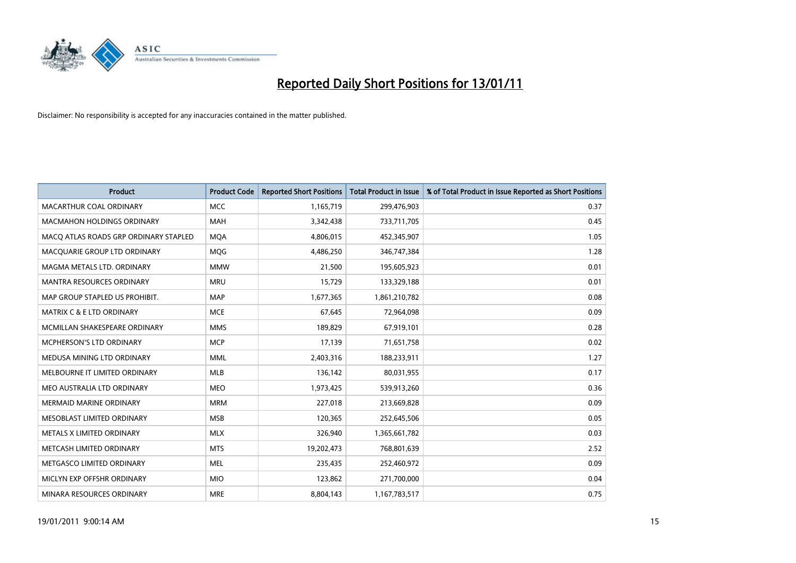

| <b>Product</b>                        | <b>Product Code</b> | <b>Reported Short Positions</b> | Total Product in Issue | % of Total Product in Issue Reported as Short Positions |
|---------------------------------------|---------------------|---------------------------------|------------------------|---------------------------------------------------------|
| MACARTHUR COAL ORDINARY               | <b>MCC</b>          | 1,165,719                       | 299,476,903            | 0.37                                                    |
| <b>MACMAHON HOLDINGS ORDINARY</b>     | <b>MAH</b>          | 3,342,438                       | 733,711,705            | 0.45                                                    |
| MACO ATLAS ROADS GRP ORDINARY STAPLED | <b>MQA</b>          | 4,806,015                       | 452,345,907            | 1.05                                                    |
| MACQUARIE GROUP LTD ORDINARY          | MQG                 | 4,486,250                       | 346,747,384            | 1.28                                                    |
| MAGMA METALS LTD. ORDINARY            | <b>MMW</b>          | 21,500                          | 195,605,923            | 0.01                                                    |
| <b>MANTRA RESOURCES ORDINARY</b>      | <b>MRU</b>          | 15,729                          | 133,329,188            | 0.01                                                    |
| MAP GROUP STAPLED US PROHIBIT.        | <b>MAP</b>          | 1,677,365                       | 1,861,210,782          | 0.08                                                    |
| <b>MATRIX C &amp; E LTD ORDINARY</b>  | <b>MCE</b>          | 67,645                          | 72,964,098             | 0.09                                                    |
| MCMILLAN SHAKESPEARE ORDINARY         | <b>MMS</b>          | 189,829                         | 67,919,101             | 0.28                                                    |
| <b>MCPHERSON'S LTD ORDINARY</b>       | <b>MCP</b>          | 17,139                          | 71,651,758             | 0.02                                                    |
| MEDUSA MINING LTD ORDINARY            | <b>MML</b>          | 2,403,316                       | 188,233,911            | 1.27                                                    |
| MELBOURNE IT LIMITED ORDINARY         | <b>MLB</b>          | 136,142                         | 80,031,955             | 0.17                                                    |
| MEO AUSTRALIA LTD ORDINARY            | <b>MEO</b>          | 1,973,425                       | 539,913,260            | 0.36                                                    |
| <b>MERMAID MARINE ORDINARY</b>        | <b>MRM</b>          | 227.018                         | 213,669,828            | 0.09                                                    |
| MESOBLAST LIMITED ORDINARY            | <b>MSB</b>          | 120,365                         | 252,645,506            | 0.05                                                    |
| METALS X LIMITED ORDINARY             | <b>MLX</b>          | 326,940                         | 1,365,661,782          | 0.03                                                    |
| METCASH LIMITED ORDINARY              | <b>MTS</b>          | 19,202,473                      | 768,801,639            | 2.52                                                    |
| METGASCO LIMITED ORDINARY             | <b>MEL</b>          | 235,435                         | 252,460,972            | 0.09                                                    |
| MICLYN EXP OFFSHR ORDINARY            | <b>MIO</b>          | 123,862                         | 271,700,000            | 0.04                                                    |
| MINARA RESOURCES ORDINARY             | <b>MRE</b>          | 8,804,143                       | 1,167,783,517          | 0.75                                                    |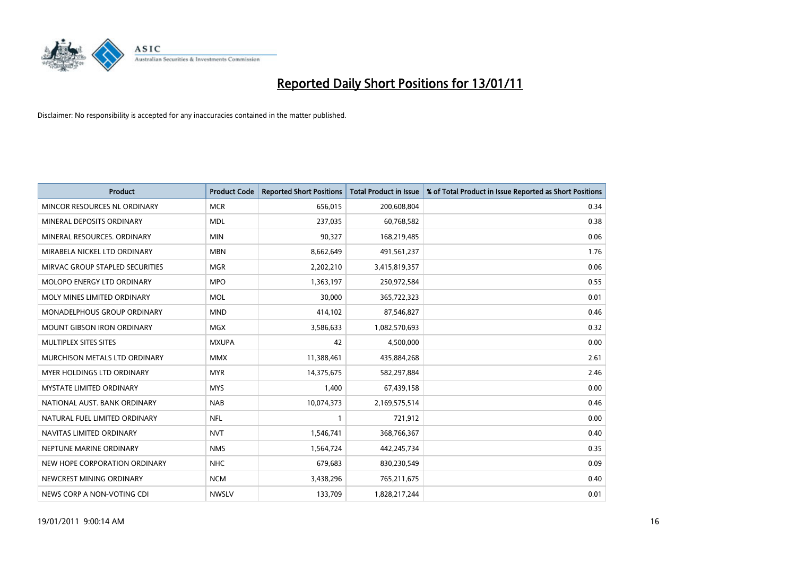

| <b>Product</b>                    | <b>Product Code</b> | <b>Reported Short Positions</b> | <b>Total Product in Issue</b> | % of Total Product in Issue Reported as Short Positions |
|-----------------------------------|---------------------|---------------------------------|-------------------------------|---------------------------------------------------------|
| MINCOR RESOURCES NL ORDINARY      | <b>MCR</b>          | 656,015                         | 200,608,804                   | 0.34                                                    |
| MINERAL DEPOSITS ORDINARY         | <b>MDL</b>          | 237,035                         | 60,768,582                    | 0.38                                                    |
| MINERAL RESOURCES, ORDINARY       | <b>MIN</b>          | 90,327                          | 168,219,485                   | 0.06                                                    |
| MIRABELA NICKEL LTD ORDINARY      | <b>MBN</b>          | 8,662,649                       | 491,561,237                   | 1.76                                                    |
| MIRVAC GROUP STAPLED SECURITIES   | <b>MGR</b>          | 2,202,210                       | 3,415,819,357                 | 0.06                                                    |
| MOLOPO ENERGY LTD ORDINARY        | <b>MPO</b>          | 1,363,197                       | 250,972,584                   | 0.55                                                    |
| MOLY MINES LIMITED ORDINARY       | <b>MOL</b>          | 30,000                          | 365,722,323                   | 0.01                                                    |
| MONADELPHOUS GROUP ORDINARY       | <b>MND</b>          | 414,102                         | 87,546,827                    | 0.46                                                    |
| <b>MOUNT GIBSON IRON ORDINARY</b> | <b>MGX</b>          | 3,586,633                       | 1,082,570,693                 | 0.32                                                    |
| MULTIPLEX SITES SITES             | <b>MXUPA</b>        | 42                              | 4,500,000                     | 0.00                                                    |
| MURCHISON METALS LTD ORDINARY     | <b>MMX</b>          | 11,388,461                      | 435,884,268                   | 2.61                                                    |
| <b>MYER HOLDINGS LTD ORDINARY</b> | <b>MYR</b>          | 14,375,675                      | 582,297,884                   | 2.46                                                    |
| MYSTATE LIMITED ORDINARY          | <b>MYS</b>          | 1,400                           | 67,439,158                    | 0.00                                                    |
| NATIONAL AUST. BANK ORDINARY      | <b>NAB</b>          | 10,074,373                      | 2,169,575,514                 | 0.46                                                    |
| NATURAL FUEL LIMITED ORDINARY     | <b>NFL</b>          |                                 | 721,912                       | 0.00                                                    |
| NAVITAS LIMITED ORDINARY          | <b>NVT</b>          | 1,546,741                       | 368,766,367                   | 0.40                                                    |
| NEPTUNE MARINE ORDINARY           | <b>NMS</b>          | 1,564,724                       | 442,245,734                   | 0.35                                                    |
| NEW HOPE CORPORATION ORDINARY     | <b>NHC</b>          | 679,683                         | 830,230,549                   | 0.09                                                    |
| NEWCREST MINING ORDINARY          | <b>NCM</b>          | 3,438,296                       | 765,211,675                   | 0.40                                                    |
| NEWS CORP A NON-VOTING CDI        | <b>NWSLV</b>        | 133,709                         | 1,828,217,244                 | 0.01                                                    |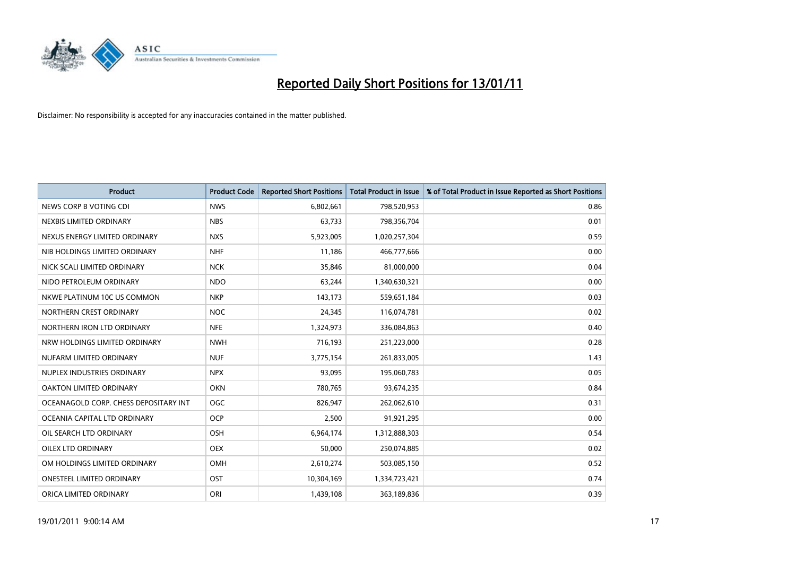

| <b>Product</b>                        | <b>Product Code</b> | <b>Reported Short Positions</b> | <b>Total Product in Issue</b> | % of Total Product in Issue Reported as Short Positions |
|---------------------------------------|---------------------|---------------------------------|-------------------------------|---------------------------------------------------------|
| NEWS CORP B VOTING CDI                | <b>NWS</b>          | 6,802,661                       | 798,520,953                   | 0.86                                                    |
| NEXBIS LIMITED ORDINARY               | <b>NBS</b>          | 63,733                          | 798,356,704                   | 0.01                                                    |
| NEXUS ENERGY LIMITED ORDINARY         | <b>NXS</b>          | 5,923,005                       | 1,020,257,304                 | 0.59                                                    |
| NIB HOLDINGS LIMITED ORDINARY         | <b>NHF</b>          | 11,186                          | 466,777,666                   | 0.00                                                    |
| NICK SCALI LIMITED ORDINARY           | <b>NCK</b>          | 35,846                          | 81,000,000                    | 0.04                                                    |
| NIDO PETROLEUM ORDINARY               | <b>NDO</b>          | 63,244                          | 1,340,630,321                 | 0.00                                                    |
| NKWE PLATINUM 10C US COMMON           | <b>NKP</b>          | 143.173                         | 559,651,184                   | 0.03                                                    |
| NORTHERN CREST ORDINARY               | <b>NOC</b>          | 24,345                          | 116,074,781                   | 0.02                                                    |
| NORTHERN IRON LTD ORDINARY            | <b>NFE</b>          | 1,324,973                       | 336,084,863                   | 0.40                                                    |
| NRW HOLDINGS LIMITED ORDINARY         | <b>NWH</b>          | 716,193                         | 251,223,000                   | 0.28                                                    |
| NUFARM LIMITED ORDINARY               | <b>NUF</b>          | 3,775,154                       | 261,833,005                   | 1.43                                                    |
| NUPLEX INDUSTRIES ORDINARY            | <b>NPX</b>          | 93,095                          | 195,060,783                   | 0.05                                                    |
| OAKTON LIMITED ORDINARY               | <b>OKN</b>          | 780,765                         | 93,674,235                    | 0.84                                                    |
| OCEANAGOLD CORP. CHESS DEPOSITARY INT | OGC                 | 826,947                         | 262,062,610                   | 0.31                                                    |
| OCEANIA CAPITAL LTD ORDINARY          | <b>OCP</b>          | 2,500                           | 91,921,295                    | 0.00                                                    |
| OIL SEARCH LTD ORDINARY               | <b>OSH</b>          | 6,964,174                       | 1,312,888,303                 | 0.54                                                    |
| <b>OILEX LTD ORDINARY</b>             | <b>OEX</b>          | 50,000                          | 250,074,885                   | 0.02                                                    |
| OM HOLDINGS LIMITED ORDINARY          | <b>OMH</b>          | 2,610,274                       | 503,085,150                   | 0.52                                                    |
| <b>ONESTEEL LIMITED ORDINARY</b>      | OST                 | 10,304,169                      | 1,334,723,421                 | 0.74                                                    |
| ORICA LIMITED ORDINARY                | ORI                 | 1,439,108                       | 363,189,836                   | 0.39                                                    |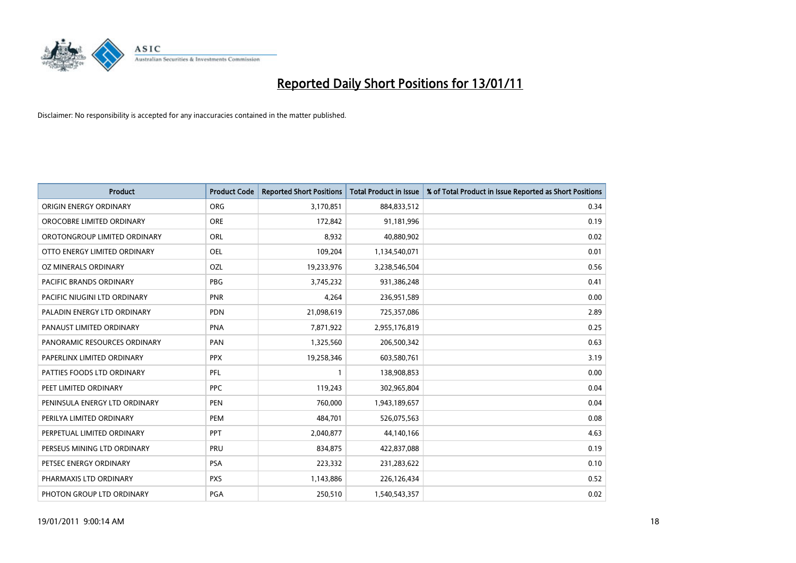

| <b>Product</b>                 | <b>Product Code</b> | <b>Reported Short Positions</b> | <b>Total Product in Issue</b> | % of Total Product in Issue Reported as Short Positions |
|--------------------------------|---------------------|---------------------------------|-------------------------------|---------------------------------------------------------|
| ORIGIN ENERGY ORDINARY         | <b>ORG</b>          | 3,170,851                       | 884,833,512                   | 0.34                                                    |
| OROCOBRE LIMITED ORDINARY      | <b>ORE</b>          | 172,842                         | 91,181,996                    | 0.19                                                    |
| OROTONGROUP LIMITED ORDINARY   | ORL                 | 8,932                           | 40,880,902                    | 0.02                                                    |
| OTTO ENERGY LIMITED ORDINARY   | <b>OEL</b>          | 109,204                         | 1,134,540,071                 | 0.01                                                    |
| OZ MINERALS ORDINARY           | OZL                 | 19,233,976                      | 3,238,546,504                 | 0.56                                                    |
| <b>PACIFIC BRANDS ORDINARY</b> | <b>PBG</b>          | 3,745,232                       | 931,386,248                   | 0.41                                                    |
| PACIFIC NIUGINI LTD ORDINARY   | PNR                 | 4,264                           | 236,951,589                   | 0.00                                                    |
| PALADIN ENERGY LTD ORDINARY    | <b>PDN</b>          | 21,098,619                      | 725,357,086                   | 2.89                                                    |
| PANAUST LIMITED ORDINARY       | <b>PNA</b>          | 7,871,922                       | 2,955,176,819                 | 0.25                                                    |
| PANORAMIC RESOURCES ORDINARY   | PAN                 | 1,325,560                       | 206,500,342                   | 0.63                                                    |
| PAPERLINX LIMITED ORDINARY     | <b>PPX</b>          | 19,258,346                      | 603,580,761                   | 3.19                                                    |
| PATTIES FOODS LTD ORDINARY     | PFL                 |                                 | 138,908,853                   | 0.00                                                    |
| PEET LIMITED ORDINARY          | <b>PPC</b>          | 119,243                         | 302,965,804                   | 0.04                                                    |
| PENINSULA ENERGY LTD ORDINARY  | PEN                 | 760,000                         | 1,943,189,657                 | 0.04                                                    |
| PERILYA LIMITED ORDINARY       | PEM                 | 484,701                         | 526,075,563                   | 0.08                                                    |
| PERPETUAL LIMITED ORDINARY     | <b>PPT</b>          | 2,040,877                       | 44,140,166                    | 4.63                                                    |
| PERSEUS MINING LTD ORDINARY    | PRU                 | 834,875                         | 422,837,088                   | 0.19                                                    |
| PETSEC ENERGY ORDINARY         | <b>PSA</b>          | 223,332                         | 231,283,622                   | 0.10                                                    |
| PHARMAXIS LTD ORDINARY         | <b>PXS</b>          | 1,143,886                       | 226,126,434                   | 0.52                                                    |
| PHOTON GROUP LTD ORDINARY      | PGA                 | 250,510                         | 1,540,543,357                 | 0.02                                                    |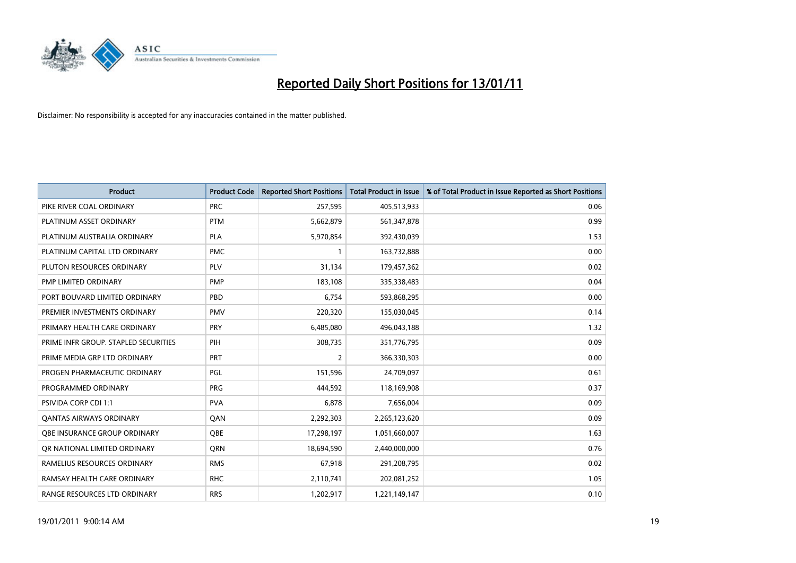

| <b>Product</b>                       | <b>Product Code</b> | <b>Reported Short Positions</b> | <b>Total Product in Issue</b> | % of Total Product in Issue Reported as Short Positions |
|--------------------------------------|---------------------|---------------------------------|-------------------------------|---------------------------------------------------------|
| PIKE RIVER COAL ORDINARY             | <b>PRC</b>          | 257,595                         | 405,513,933                   | 0.06                                                    |
| PLATINUM ASSET ORDINARY              | <b>PTM</b>          | 5,662,879                       | 561,347,878                   | 0.99                                                    |
| PLATINUM AUSTRALIA ORDINARY          | <b>PLA</b>          | 5,970,854                       | 392,430,039                   | 1.53                                                    |
| PLATINUM CAPITAL LTD ORDINARY        | <b>PMC</b>          |                                 | 163,732,888                   | 0.00                                                    |
| PLUTON RESOURCES ORDINARY            | <b>PLV</b>          | 31,134                          | 179,457,362                   | 0.02                                                    |
| PMP LIMITED ORDINARY                 | <b>PMP</b>          | 183,108                         | 335,338,483                   | 0.04                                                    |
| PORT BOUVARD LIMITED ORDINARY        | PBD                 | 6,754                           | 593,868,295                   | 0.00                                                    |
| PREMIER INVESTMENTS ORDINARY         | <b>PMV</b>          | 220,320                         | 155,030,045                   | 0.14                                                    |
| PRIMARY HEALTH CARE ORDINARY         | <b>PRY</b>          | 6,485,080                       | 496,043,188                   | 1.32                                                    |
| PRIME INFR GROUP. STAPLED SECURITIES | PIH                 | 308,735                         | 351,776,795                   | 0.09                                                    |
| PRIME MEDIA GRP LTD ORDINARY         | <b>PRT</b>          | 2                               | 366,330,303                   | 0.00                                                    |
| PROGEN PHARMACEUTIC ORDINARY         | PGL                 | 151,596                         | 24,709,097                    | 0.61                                                    |
| PROGRAMMED ORDINARY                  | <b>PRG</b>          | 444,592                         | 118,169,908                   | 0.37                                                    |
| PSIVIDA CORP CDI 1:1                 | <b>PVA</b>          | 6,878                           | 7,656,004                     | 0.09                                                    |
| <b>QANTAS AIRWAYS ORDINARY</b>       | OAN                 | 2,292,303                       | 2,265,123,620                 | 0.09                                                    |
| OBE INSURANCE GROUP ORDINARY         | OBE                 | 17,298,197                      | 1,051,660,007                 | 1.63                                                    |
| OR NATIONAL LIMITED ORDINARY         | <b>ORN</b>          | 18,694,590                      | 2,440,000,000                 | 0.76                                                    |
| RAMELIUS RESOURCES ORDINARY          | <b>RMS</b>          | 67,918                          | 291,208,795                   | 0.02                                                    |
| RAMSAY HEALTH CARE ORDINARY          | <b>RHC</b>          | 2,110,741                       | 202,081,252                   | 1.05                                                    |
| RANGE RESOURCES LTD ORDINARY         | <b>RRS</b>          | 1,202,917                       | 1,221,149,147                 | 0.10                                                    |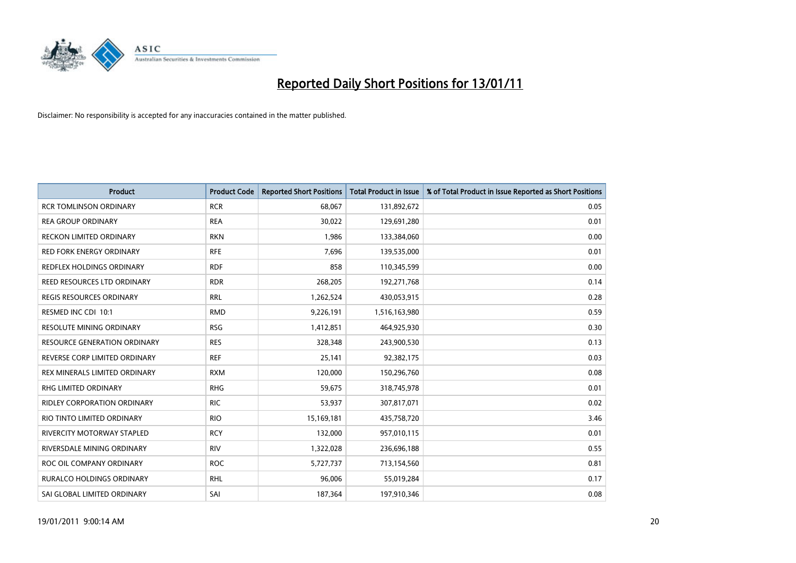

| <b>Product</b>                      | <b>Product Code</b> | <b>Reported Short Positions</b> | Total Product in Issue | % of Total Product in Issue Reported as Short Positions |
|-------------------------------------|---------------------|---------------------------------|------------------------|---------------------------------------------------------|
| <b>RCR TOMLINSON ORDINARY</b>       | <b>RCR</b>          | 68,067                          | 131,892,672            | 0.05                                                    |
| <b>REA GROUP ORDINARY</b>           | <b>REA</b>          | 30,022                          | 129,691,280            | 0.01                                                    |
| <b>RECKON LIMITED ORDINARY</b>      | <b>RKN</b>          | 1,986                           | 133,384,060            | 0.00                                                    |
| RED FORK ENERGY ORDINARY            | <b>RFE</b>          | 7,696                           | 139,535,000            | 0.01                                                    |
| REDFLEX HOLDINGS ORDINARY           | <b>RDF</b>          | 858                             | 110,345,599            | 0.00                                                    |
| REED RESOURCES LTD ORDINARY         | <b>RDR</b>          | 268,205                         | 192,271,768            | 0.14                                                    |
| REGIS RESOURCES ORDINARY            | <b>RRL</b>          | 1,262,524                       | 430,053,915            | 0.28                                                    |
| RESMED INC CDI 10:1                 | <b>RMD</b>          | 9,226,191                       | 1,516,163,980          | 0.59                                                    |
| <b>RESOLUTE MINING ORDINARY</b>     | <b>RSG</b>          | 1,412,851                       | 464,925,930            | 0.30                                                    |
| <b>RESOURCE GENERATION ORDINARY</b> | <b>RES</b>          | 328,348                         | 243,900,530            | 0.13                                                    |
| REVERSE CORP LIMITED ORDINARY       | <b>REF</b>          | 25,141                          | 92,382,175             | 0.03                                                    |
| REX MINERALS LIMITED ORDINARY       | <b>RXM</b>          | 120,000                         | 150,296,760            | 0.08                                                    |
| RHG LIMITED ORDINARY                | <b>RHG</b>          | 59,675                          | 318,745,978            | 0.01                                                    |
| <b>RIDLEY CORPORATION ORDINARY</b>  | <b>RIC</b>          | 53,937                          | 307,817,071            | 0.02                                                    |
| RIO TINTO LIMITED ORDINARY          | <b>RIO</b>          | 15,169,181                      | 435,758,720            | 3.46                                                    |
| <b>RIVERCITY MOTORWAY STAPLED</b>   | <b>RCY</b>          | 132,000                         | 957,010,115            | 0.01                                                    |
| RIVERSDALE MINING ORDINARY          | <b>RIV</b>          | 1,322,028                       | 236,696,188            | 0.55                                                    |
| ROC OIL COMPANY ORDINARY            | <b>ROC</b>          | 5,727,737                       | 713,154,560            | 0.81                                                    |
| <b>RURALCO HOLDINGS ORDINARY</b>    | <b>RHL</b>          | 96,006                          | 55,019,284             | 0.17                                                    |
| SAI GLOBAL LIMITED ORDINARY         | SAI                 | 187,364                         | 197,910,346            | 0.08                                                    |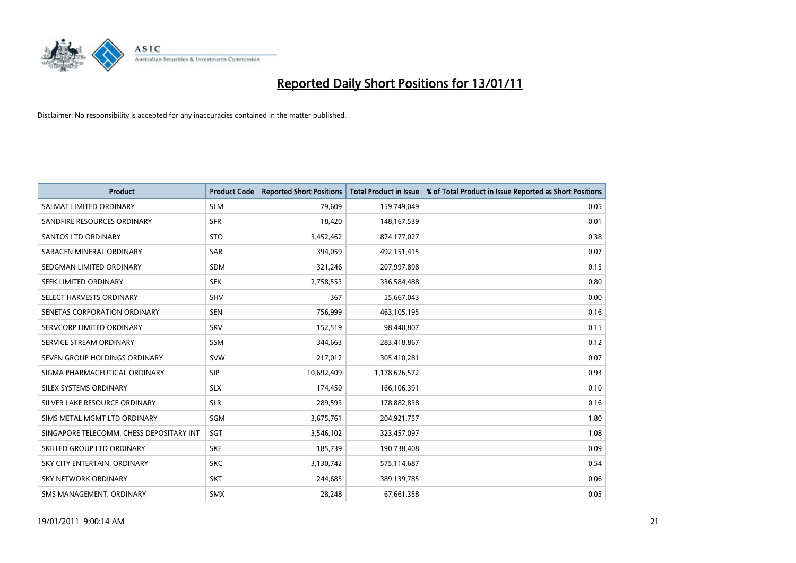

| <b>Product</b>                           | <b>Product Code</b> | <b>Reported Short Positions</b> | <b>Total Product in Issue</b> | % of Total Product in Issue Reported as Short Positions |
|------------------------------------------|---------------------|---------------------------------|-------------------------------|---------------------------------------------------------|
| SALMAT LIMITED ORDINARY                  | <b>SLM</b>          | 79,609                          | 159,749,049                   | 0.05                                                    |
| SANDFIRE RESOURCES ORDINARY              | <b>SFR</b>          | 18,420                          | 148,167,539                   | 0.01                                                    |
| <b>SANTOS LTD ORDINARY</b>               | <b>STO</b>          | 3,452,462                       | 874,177,027                   | 0.38                                                    |
| SARACEN MINERAL ORDINARY                 | <b>SAR</b>          | 394,059                         | 492,151,415                   | 0.07                                                    |
| SEDGMAN LIMITED ORDINARY                 | <b>SDM</b>          | 321,246                         | 207,997,898                   | 0.15                                                    |
| SEEK LIMITED ORDINARY                    | <b>SEK</b>          | 2,758,553                       | 336,584,488                   | 0.80                                                    |
| SELECT HARVESTS ORDINARY                 | SHV                 | 367                             | 55,667,043                    | 0.00                                                    |
| SENETAS CORPORATION ORDINARY             | <b>SEN</b>          | 756,999                         | 463,105,195                   | 0.16                                                    |
| SERVCORP LIMITED ORDINARY                | SRV                 | 152,519                         | 98,440,807                    | 0.15                                                    |
| SERVICE STREAM ORDINARY                  | <b>SSM</b>          | 344,663                         | 283,418,867                   | 0.12                                                    |
| SEVEN GROUP HOLDINGS ORDINARY            | <b>SVW</b>          | 217,012                         | 305,410,281                   | 0.07                                                    |
| SIGMA PHARMACEUTICAL ORDINARY            | <b>SIP</b>          | 10,692,409                      | 1,178,626,572                 | 0.93                                                    |
| SILEX SYSTEMS ORDINARY                   | <b>SLX</b>          | 174,450                         | 166,106,391                   | 0.10                                                    |
| SILVER LAKE RESOURCE ORDINARY            | <b>SLR</b>          | 289,593                         | 178,882,838                   | 0.16                                                    |
| SIMS METAL MGMT LTD ORDINARY             | SGM                 | 3,675,761                       | 204,921,757                   | 1.80                                                    |
| SINGAPORE TELECOMM. CHESS DEPOSITARY INT | SGT                 | 3,546,102                       | 323,457,097                   | 1.08                                                    |
| SKILLED GROUP LTD ORDINARY               | <b>SKE</b>          | 185,739                         | 190,738,408                   | 0.09                                                    |
| SKY CITY ENTERTAIN. ORDINARY             | <b>SKC</b>          | 3,130,742                       | 575,114,687                   | 0.54                                                    |
| SKY NETWORK ORDINARY                     | <b>SKT</b>          | 244,685                         | 389,139,785                   | 0.06                                                    |
| SMS MANAGEMENT. ORDINARY                 | <b>SMX</b>          | 28,248                          | 67,661,358                    | 0.05                                                    |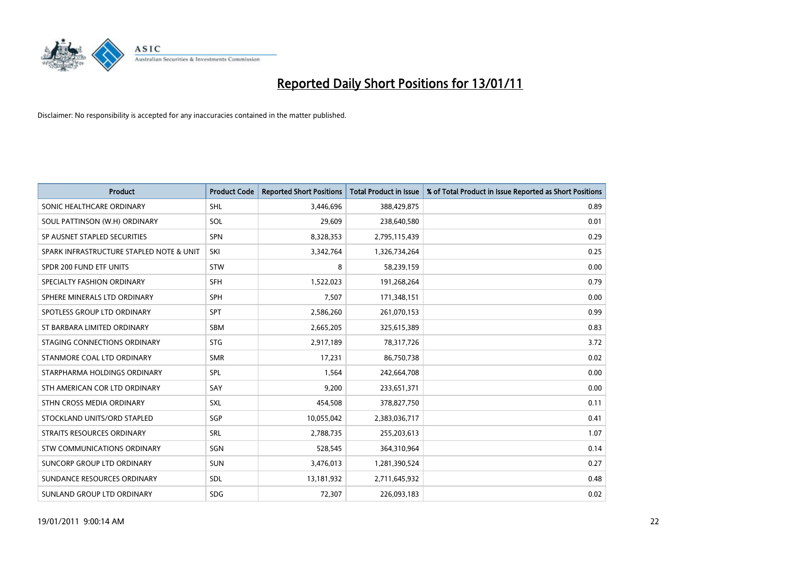

| <b>Product</b>                           | <b>Product Code</b> | <b>Reported Short Positions</b> | Total Product in Issue | % of Total Product in Issue Reported as Short Positions |
|------------------------------------------|---------------------|---------------------------------|------------------------|---------------------------------------------------------|
| SONIC HEALTHCARE ORDINARY                | <b>SHL</b>          | 3,446,696                       | 388,429,875            | 0.89                                                    |
| SOUL PATTINSON (W.H) ORDINARY            | SOL                 | 29,609                          | 238,640,580            | 0.01                                                    |
| SP AUSNET STAPLED SECURITIES             | <b>SPN</b>          | 8,328,353                       | 2,795,115,439          | 0.29                                                    |
| SPARK INFRASTRUCTURE STAPLED NOTE & UNIT | SKI                 | 3,342,764                       | 1,326,734,264          | 0.25                                                    |
| SPDR 200 FUND ETF UNITS                  | STW                 | 8                               | 58,239,159             | 0.00                                                    |
| SPECIALTY FASHION ORDINARY               | <b>SFH</b>          | 1,522,023                       | 191,268,264            | 0.79                                                    |
| SPHERE MINERALS LTD ORDINARY             | <b>SPH</b>          | 7,507                           | 171,348,151            | 0.00                                                    |
| SPOTLESS GROUP LTD ORDINARY              | <b>SPT</b>          | 2,586,260                       | 261,070,153            | 0.99                                                    |
| ST BARBARA LIMITED ORDINARY              | <b>SBM</b>          | 2,665,205                       | 325,615,389            | 0.83                                                    |
| STAGING CONNECTIONS ORDINARY             | <b>STG</b>          | 2,917,189                       | 78,317,726             | 3.72                                                    |
| STANMORE COAL LTD ORDINARY               | <b>SMR</b>          | 17,231                          | 86,750,738             | 0.02                                                    |
| STARPHARMA HOLDINGS ORDINARY             | SPL                 | 1,564                           | 242,664,708            | 0.00                                                    |
| STH AMERICAN COR LTD ORDINARY            | SAY                 | 9,200                           | 233,651,371            | 0.00                                                    |
| STHN CROSS MEDIA ORDINARY                | <b>SXL</b>          | 454,508                         | 378,827,750            | 0.11                                                    |
| STOCKLAND UNITS/ORD STAPLED              | SGP                 | 10,055,042                      | 2,383,036,717          | 0.41                                                    |
| STRAITS RESOURCES ORDINARY               | SRL                 | 2,788,735                       | 255,203,613            | 1.07                                                    |
| STW COMMUNICATIONS ORDINARY              | SGN                 | 528,545                         | 364,310,964            | 0.14                                                    |
| SUNCORP GROUP LTD ORDINARY               | <b>SUN</b>          | 3,476,013                       | 1,281,390,524          | 0.27                                                    |
| SUNDANCE RESOURCES ORDINARY              | <b>SDL</b>          | 13,181,932                      | 2,711,645,932          | 0.48                                                    |
| SUNLAND GROUP LTD ORDINARY               | <b>SDG</b>          | 72,307                          | 226,093,183            | 0.02                                                    |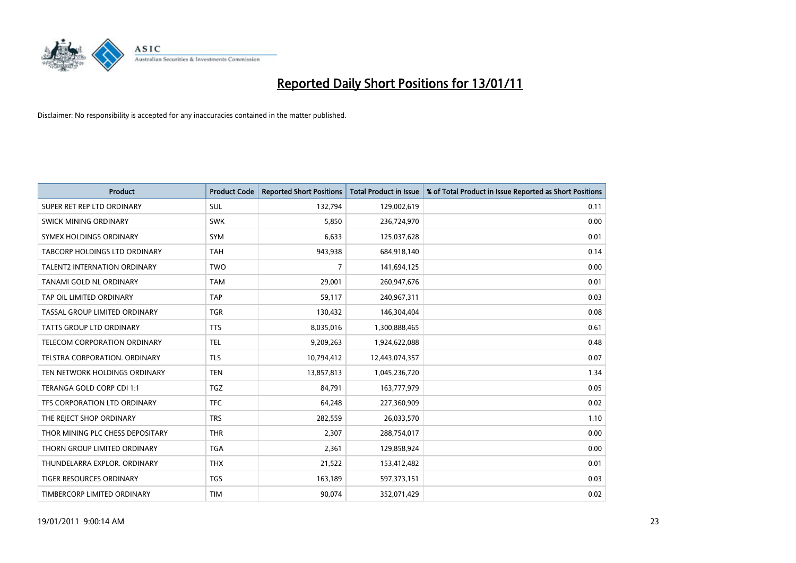

| <b>Product</b>                      | <b>Product Code</b> | <b>Reported Short Positions</b> | <b>Total Product in Issue</b> | % of Total Product in Issue Reported as Short Positions |
|-------------------------------------|---------------------|---------------------------------|-------------------------------|---------------------------------------------------------|
| SUPER RET REP LTD ORDINARY          | <b>SUL</b>          | 132,794                         | 129,002,619                   | 0.11                                                    |
| SWICK MINING ORDINARY               | <b>SWK</b>          | 5,850                           | 236,724,970                   | 0.00                                                    |
| SYMEX HOLDINGS ORDINARY             | SYM                 | 6,633                           | 125,037,628                   | 0.01                                                    |
| TABCORP HOLDINGS LTD ORDINARY       | <b>TAH</b>          | 943,938                         | 684,918,140                   | 0.14                                                    |
| <b>TALENT2 INTERNATION ORDINARY</b> | <b>TWO</b>          | $\overline{7}$                  | 141,694,125                   | 0.00                                                    |
| TANAMI GOLD NL ORDINARY             | <b>TAM</b>          | 29,001                          | 260,947,676                   | 0.01                                                    |
| TAP OIL LIMITED ORDINARY            | <b>TAP</b>          | 59,117                          | 240,967,311                   | 0.03                                                    |
| TASSAL GROUP LIMITED ORDINARY       | <b>TGR</b>          | 130,432                         | 146,304,404                   | 0.08                                                    |
| <b>TATTS GROUP LTD ORDINARY</b>     | <b>TTS</b>          | 8,035,016                       | 1,300,888,465                 | 0.61                                                    |
| TELECOM CORPORATION ORDINARY        | <b>TEL</b>          | 9,209,263                       | 1,924,622,088                 | 0.48                                                    |
| TELSTRA CORPORATION. ORDINARY       | <b>TLS</b>          | 10,794,412                      | 12,443,074,357                | 0.07                                                    |
| TEN NETWORK HOLDINGS ORDINARY       | <b>TEN</b>          | 13,857,813                      | 1,045,236,720                 | 1.34                                                    |
| TERANGA GOLD CORP CDI 1:1           | <b>TGZ</b>          | 84,791                          | 163,777,979                   | 0.05                                                    |
| TFS CORPORATION LTD ORDINARY        | <b>TFC</b>          | 64,248                          | 227,360,909                   | 0.02                                                    |
| THE REJECT SHOP ORDINARY            | <b>TRS</b>          | 282,559                         | 26,033,570                    | 1.10                                                    |
| THOR MINING PLC CHESS DEPOSITARY    | <b>THR</b>          | 2,307                           | 288,754,017                   | 0.00                                                    |
| THORN GROUP LIMITED ORDINARY        | <b>TGA</b>          | 2,361                           | 129,858,924                   | 0.00                                                    |
| THUNDELARRA EXPLOR. ORDINARY        | <b>THX</b>          | 21,522                          | 153,412,482                   | 0.01                                                    |
| <b>TIGER RESOURCES ORDINARY</b>     | <b>TGS</b>          | 163,189                         | 597,373,151                   | 0.03                                                    |
| TIMBERCORP LIMITED ORDINARY         | <b>TIM</b>          | 90,074                          | 352,071,429                   | 0.02                                                    |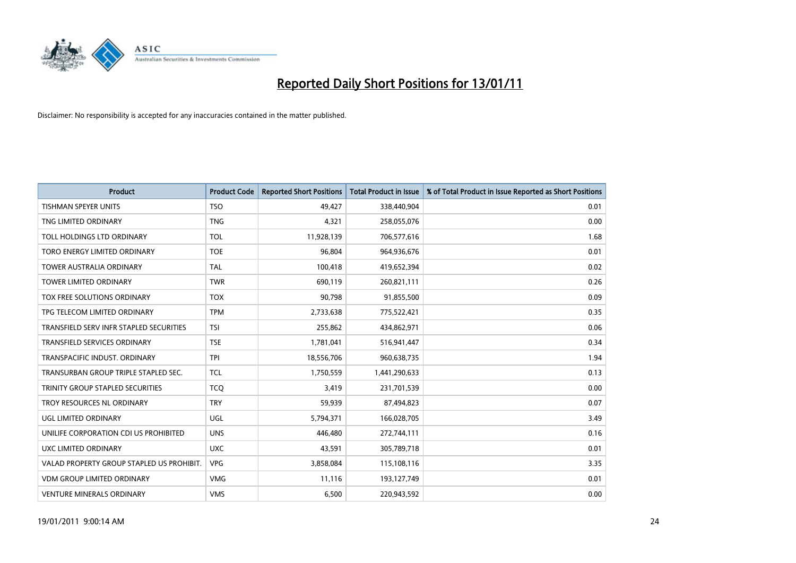

| <b>Product</b>                            | <b>Product Code</b> | <b>Reported Short Positions</b> | <b>Total Product in Issue</b> | % of Total Product in Issue Reported as Short Positions |
|-------------------------------------------|---------------------|---------------------------------|-------------------------------|---------------------------------------------------------|
| <b>TISHMAN SPEYER UNITS</b>               | <b>TSO</b>          | 49,427                          | 338,440,904                   | 0.01                                                    |
| TNG LIMITED ORDINARY                      | <b>TNG</b>          | 4,321                           | 258,055,076                   | 0.00                                                    |
| TOLL HOLDINGS LTD ORDINARY                | <b>TOL</b>          | 11,928,139                      | 706,577,616                   | 1.68                                                    |
| TORO ENERGY LIMITED ORDINARY              | <b>TOE</b>          | 96,804                          | 964,936,676                   | 0.01                                                    |
| <b>TOWER AUSTRALIA ORDINARY</b>           | <b>TAL</b>          | 100,418                         | 419,652,394                   | 0.02                                                    |
| <b>TOWER LIMITED ORDINARY</b>             | <b>TWR</b>          | 690,119                         | 260,821,111                   | 0.26                                                    |
| TOX FREE SOLUTIONS ORDINARY               | <b>TOX</b>          | 90,798                          | 91,855,500                    | 0.09                                                    |
| TPG TELECOM LIMITED ORDINARY              | <b>TPM</b>          | 2,733,638                       | 775,522,421                   | 0.35                                                    |
| TRANSFIELD SERV INFR STAPLED SECURITIES   | <b>TSI</b>          | 255,862                         | 434,862,971                   | 0.06                                                    |
| <b>TRANSFIELD SERVICES ORDINARY</b>       | <b>TSE</b>          | 1,781,041                       | 516,941,447                   | 0.34                                                    |
| TRANSPACIFIC INDUST. ORDINARY             | <b>TPI</b>          | 18,556,706                      | 960,638,735                   | 1.94                                                    |
| TRANSURBAN GROUP TRIPLE STAPLED SEC.      | <b>TCL</b>          | 1,750,559                       | 1,441,290,633                 | 0.13                                                    |
| TRINITY GROUP STAPLED SECURITIES          | <b>TCQ</b>          | 3,419                           | 231,701,539                   | 0.00                                                    |
| TROY RESOURCES NL ORDINARY                | <b>TRY</b>          | 59,939                          | 87,494,823                    | 0.07                                                    |
| <b>UGL LIMITED ORDINARY</b>               | <b>UGL</b>          | 5,794,371                       | 166,028,705                   | 3.49                                                    |
| UNILIFE CORPORATION CDI US PROHIBITED     | <b>UNS</b>          | 446,480                         | 272,744,111                   | 0.16                                                    |
| UXC LIMITED ORDINARY                      | <b>UXC</b>          | 43,591                          | 305,789,718                   | 0.01                                                    |
| VALAD PROPERTY GROUP STAPLED US PROHIBIT. | <b>VPG</b>          | 3,858,084                       | 115,108,116                   | 3.35                                                    |
| <b>VDM GROUP LIMITED ORDINARY</b>         | <b>VMG</b>          | 11,116                          | 193,127,749                   | 0.01                                                    |
| <b>VENTURE MINERALS ORDINARY</b>          | <b>VMS</b>          | 6,500                           | 220,943,592                   | 0.00                                                    |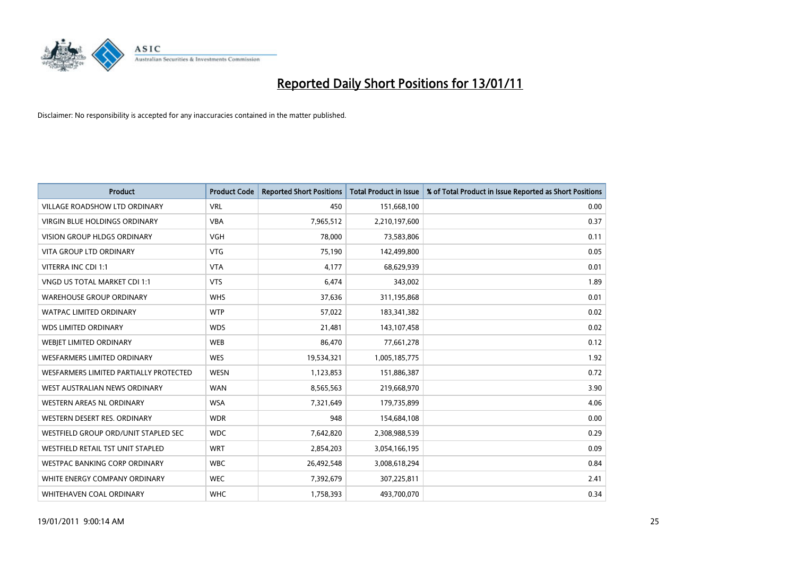

| <b>Product</b>                         | <b>Product Code</b> | <b>Reported Short Positions</b> | <b>Total Product in Issue</b> | % of Total Product in Issue Reported as Short Positions |
|----------------------------------------|---------------------|---------------------------------|-------------------------------|---------------------------------------------------------|
| <b>VILLAGE ROADSHOW LTD ORDINARY</b>   | <b>VRL</b>          | 450                             | 151,668,100                   | 0.00                                                    |
| VIRGIN BLUE HOLDINGS ORDINARY          | <b>VBA</b>          | 7,965,512                       | 2,210,197,600                 | 0.37                                                    |
| <b>VISION GROUP HLDGS ORDINARY</b>     | <b>VGH</b>          | 78,000                          | 73,583,806                    | 0.11                                                    |
| <b>VITA GROUP LTD ORDINARY</b>         | <b>VTG</b>          | 75,190                          | 142,499,800                   | 0.05                                                    |
| VITERRA INC CDI 1:1                    | <b>VTA</b>          | 4,177                           | 68,629,939                    | 0.01                                                    |
| VNGD US TOTAL MARKET CDI 1:1           | <b>VTS</b>          | 6,474                           | 343,002                       | 1.89                                                    |
| <b>WAREHOUSE GROUP ORDINARY</b>        | <b>WHS</b>          | 37,636                          | 311,195,868                   | 0.01                                                    |
| WATPAC LIMITED ORDINARY                | <b>WTP</b>          | 57,022                          | 183,341,382                   | 0.02                                                    |
| <b>WDS LIMITED ORDINARY</b>            | <b>WDS</b>          | 21,481                          | 143,107,458                   | 0.02                                                    |
| WEBJET LIMITED ORDINARY                | <b>WEB</b>          | 86,470                          | 77,661,278                    | 0.12                                                    |
| WESFARMERS LIMITED ORDINARY            | <b>WES</b>          | 19,534,321                      | 1,005,185,775                 | 1.92                                                    |
| WESFARMERS LIMITED PARTIALLY PROTECTED | <b>WESN</b>         | 1,123,853                       | 151,886,387                   | 0.72                                                    |
| WEST AUSTRALIAN NEWS ORDINARY          | <b>WAN</b>          | 8,565,563                       | 219,668,970                   | 3.90                                                    |
| <b>WESTERN AREAS NL ORDINARY</b>       | <b>WSA</b>          | 7,321,649                       | 179,735,899                   | 4.06                                                    |
| WESTERN DESERT RES. ORDINARY           | <b>WDR</b>          | 948                             | 154,684,108                   | 0.00                                                    |
| WESTFIELD GROUP ORD/UNIT STAPLED SEC   | <b>WDC</b>          | 7,642,820                       | 2,308,988,539                 | 0.29                                                    |
| WESTFIELD RETAIL TST UNIT STAPLED      | <b>WRT</b>          | 2,854,203                       | 3,054,166,195                 | 0.09                                                    |
| WESTPAC BANKING CORP ORDINARY          | <b>WBC</b>          | 26,492,548                      | 3,008,618,294                 | 0.84                                                    |
| WHITE ENERGY COMPANY ORDINARY          | <b>WEC</b>          | 7,392,679                       | 307,225,811                   | 2.41                                                    |
| WHITEHAVEN COAL ORDINARY               | <b>WHC</b>          | 1,758,393                       | 493,700,070                   | 0.34                                                    |